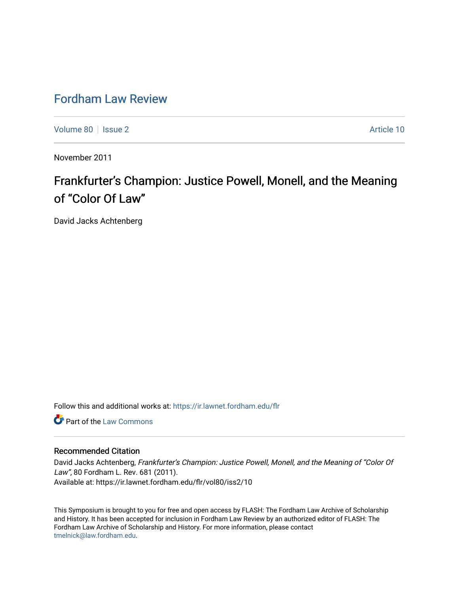## [Fordham Law Review](https://ir.lawnet.fordham.edu/flr)

[Volume 80](https://ir.lawnet.fordham.edu/flr/vol80) | [Issue 2](https://ir.lawnet.fordham.edu/flr/vol80/iss2) Article 10

November 2011

# Frankfurter's Champion: Justice Powell, Monell, and the Meaning of "Color Of Law"

David Jacks Achtenberg

Follow this and additional works at: [https://ir.lawnet.fordham.edu/flr](https://ir.lawnet.fordham.edu/flr?utm_source=ir.lawnet.fordham.edu%2Fflr%2Fvol80%2Fiss2%2F10&utm_medium=PDF&utm_campaign=PDFCoverPages)

**C** Part of the [Law Commons](http://network.bepress.com/hgg/discipline/578?utm_source=ir.lawnet.fordham.edu%2Fflr%2Fvol80%2Fiss2%2F10&utm_medium=PDF&utm_campaign=PDFCoverPages)

#### Recommended Citation

David Jacks Achtenberg, Frankfurter's Champion: Justice Powell, Monell, and the Meaning of "Color Of Law", 80 Fordham L. Rev. 681 (2011). Available at: https://ir.lawnet.fordham.edu/flr/vol80/iss2/10

This Symposium is brought to you for free and open access by FLASH: The Fordham Law Archive of Scholarship and History. It has been accepted for inclusion in Fordham Law Review by an authorized editor of FLASH: The Fordham Law Archive of Scholarship and History. For more information, please contact [tmelnick@law.fordham.edu](mailto:tmelnick@law.fordham.edu).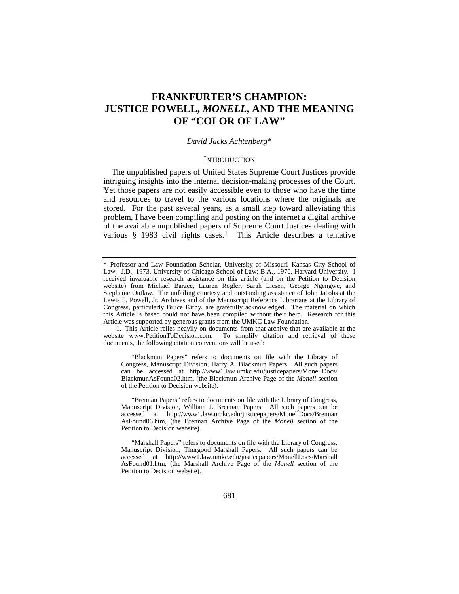### **FRANKFURTER'S CHAMPION: JUSTICE POWELL,** *MONELL***, AND THE MEANING OF "COLOR OF LAW"**

#### *David Jacks Achtenberg*[\\*](#page-1-0)

#### <span id="page-1-2"></span>**INTRODUCTION**

The unpublished papers of United States Supreme Court Justices provide intriguing insights into the internal decision-making processes of the Court. Yet those papers are not easily accessible even to those who have the time and resources to travel to the various locations where the originals are stored. For the past several years, as a small step toward alleviating this problem, I have been compiling and posting on the internet a digital archive of the available unpublished papers of Supreme Court Justices dealing with various § [1](#page-1-1)983 civil rights cases.<sup>1</sup> This Article describes a tentative

<span id="page-1-1"></span>1. This Article relies heavily on documents from that archive that are available at the website www.PetitionToDecision.com. To simplify citation and retrieval of these documents, the following citation conventions will be used:

"Blackmun Papers" refers to documents on file with the Library of Congress, Manuscript Division, Harry A. Blackmun Papers. All such papers can be accessed at http://www1.law.umkc.edu/justicepapers/MonellDocs/ BlackmunAsFound02.htm, (the Blackmun Archive Page of the *Monell* section of the Petition to Decision website).

"Brennan Papers" refers to documents on file with the Library of Congress, Manuscript Division, William J. Brennan Papers. All such papers can be accessed at http://www1.law.umkc.edu/justicepapers/MonellDocs/Brennan AsFound06.htm, (the Brennan Archive Page of the *Monell* section of the Petition to Decision website).

"Marshall Papers" refers to documents on file with the Library of Congress, Manuscript Division, Thurgood Marshall Papers. All such papers can be accessed at http://www1.law.umkc.edu/justicepapers/MonellDocs/Marshall AsFound01.htm, (the Marshall Archive Page of the *Monell* section of the Petition to Decision website).

<span id="page-1-0"></span><sup>\*</sup> Professor and Law Foundation Scholar, University of Missouri–Kansas City School of Law. J.D., 1973, University of Chicago School of Law; B.A., 1970, Harvard University. I received invaluable research assistance on this article (and on the Petition to Decision website) from Michael Barzee, Lauren Rogler, Sarah Liesen, George Ngengwe, and Stephanie Outlaw. The unfailing courtesy and outstanding assistance of John Jacobs at the Lewis F. Powell, Jr. Archives and of the Manuscript Reference Librarians at the Library of Congress, particularly Bruce Kirby, are gratefully acknowledged. The material on which this Article is based could not have been compiled without their help. Research for this Article was supported by generous grants from the UMKC Law Foundation.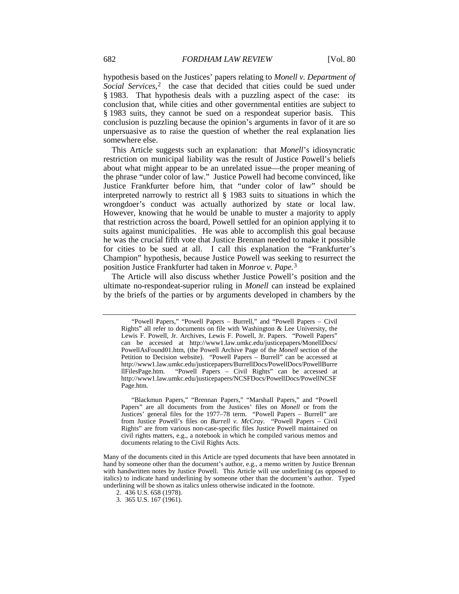hypothesis based on the Justices' papers relating to *Monell v. Department of*  Social Services,<sup>[2](#page-2-0)</sup> the case that decided that cities could be sued under § 1983. That hypothesis deals with a puzzling aspect of the case: its conclusion that, while cities and other governmental entities are subject to § 1983 suits, they cannot be sued on a respondeat superior basis. This conclusion is puzzling because the opinion's arguments in favor of it are so unpersuasive as to raise the question of whether the real explanation lies somewhere else.

This Article suggests such an explanation: that *Monell*'s idiosyncratic restriction on municipal liability was the result of Justice Powell's beliefs about what might appear to be an unrelated issue—the proper meaning of the phrase "under color of law." Justice Powell had become convinced, like Justice Frankfurter before him, that "under color of law" should be interpreted narrowly to restrict all § 1983 suits to situations in which the wrongdoer's conduct was actually authorized by state or local law. However, knowing that he would be unable to muster a majority to apply that restriction across the board, Powell settled for an opinion applying it to suits against municipalities. He was able to accomplish this goal because he was the crucial fifth vote that Justice Brennan needed to make it possible for cities to be sued at all. I call this explanation the "Frankfurter's Champion" hypothesis, because Justice Powell was seeking to resurrect the position Justice Frankfurter had taken in *Monroe v. Pape.* [3](#page-2-1)

The Article will also discuss whether Justice Powell's position and the ultimate no-respondeat-superior ruling in *Monell* can instead be explained by the briefs of the parties or by arguments developed in chambers by the

"Blackmun Papers," "Brennan Papers," "Marshall Papers," and "Powell Papers" are all documents from the Justices' files on *Monell* or from the Justices' general files for the 1977–78 term. "Powell Papers – Burrell" are from Justice Powell's files on *Burrell v. McCray*. "Powell Papers – Civil Rights" are from various non-case-specific files Justice Powell maintained on civil rights matters, e.g., a notebook in which he compiled various memos and documents relating to the Civil Rights Acts.

<sup>&</sup>quot;Powell Papers," "Powell Papers – Burrell," and "Powell Papers – Civil Rights" all refer to documents on file with Washington & Lee University, the Lewis F. Powell, Jr. Archives, Lewis F. Powell, Jr. Papers. "Powell Papers" can be accessed at http://www1.law.umkc.edu/justicepapers/MonellDocs/ PowellAsFound01.htm, (the Powell Archive Page of the *Monell* section of the Petition to Decision website). "Powell Papers – Burrell" can be accessed at http://www1.law.umkc.edu/justicepapers/BurrellDocs/PowellDocs/PowellBurre llFilesPage.htm. "Powell Papers – Civil Rights" can be accessed at http://www1.law.umkc.edu/justicepapers/NCSFDocs/PowellDocs/PowellNCSF Page.htm.

<span id="page-2-1"></span><span id="page-2-0"></span>Many of the documents cited in this Article are typed documents that have been annotated in hand by someone other than the document's author, e.g., a memo written by Justice Brennan with handwritten notes by Justice Powell. This Article will use underlining (as opposed to italics) to indicate hand underlining by someone other than the document's author. Typed underlining will be shown as italics unless otherwise indicated in the footnote.

<sup>2.</sup> 436 U.S. 658 (1978).

<sup>3.</sup> 365 U.S. 167 (1961).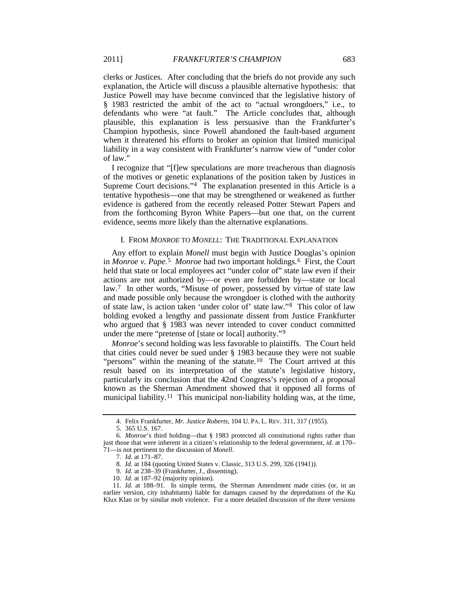clerks or Justices. After concluding that the briefs do not provide any such explanation, the Article will discuss a plausible alternative hypothesis: that Justice Powell may have become convinced that the legislative history of § 1983 restricted the ambit of the act to "actual wrongdoers," i.e., to defendants who were "at fault." The Article concludes that, although plausible, this explanation is less persuasive than the Frankfurter's Champion hypothesis, since Powell abandoned the fault-based argument when it threatened his efforts to broker an opinion that limited municipal liability in a way consistent with Frankfurter's narrow view of "under color of law."

I recognize that "[f]ew speculations are more treacherous than diagnosis of the motives or genetic explanations of the position taken by Justices in Supreme Court decisions."<sup>[4](#page-3-0)</sup> The explanation presented in this Article is a tentative hypothesis—one that may be strengthened or weakened as further evidence is gathered from the recently released Potter Stewart Papers and from the forthcoming Byron White Papers—but one that, on the current evidence, seems more likely than the alternative explanations.

#### I. FROM *MONROE* TO *MONELL*: THE TRADITIONAL EXPLANATION

Any effort to explain *Monell* must begin with Justice Douglas's opinion in *Monroe v. Pape.*[5](#page-3-1) *Monroe* had two important holdings.[6](#page-3-2) First, the Court held that state or local employees act "under color of" state law even if their actions are not authorized by—or even are forbidden by—state or local law.[7](#page-3-3) In other words, "Misuse of power, possessed by virtue of state law and made possible only because the wrongdoer is clothed with the authority of state law, is action taken 'under color of' state law."[8](#page-3-4) This color of law holding evoked a lengthy and passionate dissent from Justice Frankfurter who argued that § 1983 was never intended to cover conduct committed under the mere "pretense of [state or local] authority."[9](#page-3-5)

*Monroe*'s second holding was less favorable to plaintiffs. The Court held that cities could never be sued under § 1983 because they were not suable "persons" within the meaning of the statute.<sup>[10](#page-3-6)</sup> The Court arrived at this result based on its interpretation of the statute's legislative history, particularly its conclusion that the 42nd Congress's rejection of a proposal known as the Sherman Amendment showed that it opposed all forms of municipal liability.<sup>[11](#page-3-7)</sup> This municipal non-liability holding was, at the time,

<sup>4.</sup> Felix Frankfurter, *Mr. Justice Roberts*, 104 U. PA. L. REV. 311, 317 (1955).

<sup>5.</sup> 365 U.S. 167.

<span id="page-3-3"></span><span id="page-3-2"></span><span id="page-3-1"></span><span id="page-3-0"></span><sup>6</sup>*. Monroe*'s third holding—that § 1983 protected all constitutional rights rather than just those that were inherent in a citizen's relationship to the federal government, *id*. at 170– 71—is not pertinent to the discussion of *Monell*.

<sup>7</sup>*. Id.* at 171–87.

<sup>8</sup>*. Id.* at 184 (quoting United States v. Classic, 313 U.S. 299, 326 (1941)).

<sup>9</sup>*. Id.* at 238–39 (Frankfurter, J., dissenting).

<sup>10</sup>*. Id.* at 187–92 (majority opinion).

<span id="page-3-7"></span><span id="page-3-6"></span><span id="page-3-5"></span><span id="page-3-4"></span><sup>11</sup>*. Id.* at 188–91. In simple terms, the Sherman Amendment made cities (or, in an earlier version, city inhabitants) liable for damages caused by the depredations of the Ku Klux Klan or by similar mob violence. For a more detailed discussion of the three versions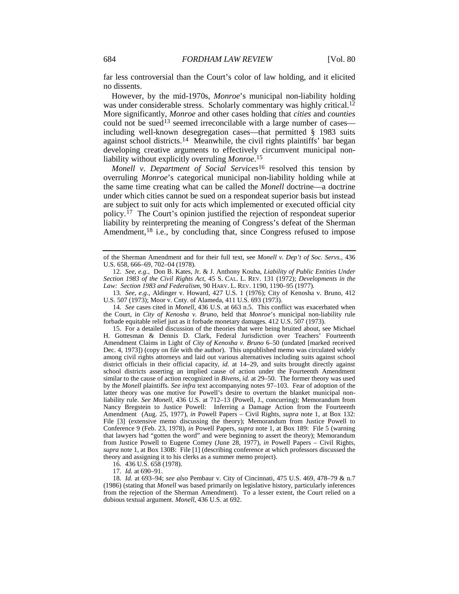far less controversial than the Court's color of law holding, and it elicited no dissents.

<span id="page-4-8"></span>However, by the mid-1970s, *Monroe*'s municipal non-liability holding was under considerable stress. Scholarly commentary was highly critical.<sup>[12](#page-4-0)</sup> More significantly, *Monroe* and other cases holding that *cities* and *counties* could not be sued<sup>[13](#page-4-1)</sup> seemed irreconcilable with a large number of cases including well-known desegregation cases—that permitted § 1983 suits against school districts.<sup>[14](#page-4-2)</sup> Meanwhile, the civil rights plaintiffs' bar began developing creative arguments to effectively circumvent municipal nonliability without explicitly overruling *Monroe*.[15](#page-4-3)

<span id="page-4-9"></span><span id="page-4-7"></span>*Monell v. Department of Social Services*[16](#page-4-4) resolved this tension by overruling *Monroe*'s categorical municipal non-liability holding while at the same time creating what can be called the *Monell* doctrine—a doctrine under which cities cannot be sued on a respondeat superior basis but instead are subject to suit only for acts which implemented or executed official city policy.[17](#page-4-5) The Court's opinion justified the rejection of respondeat superior liability by reinterpreting the meaning of Congress's defeat of the Sherman Amendment,<sup>[18](#page-4-6)</sup> i.e., by concluding that, since Congress refused to impose

<span id="page-4-1"></span>13*. See, e.g.*, Aldinger v. Howard, 427 U.S. 1 (1976); City of Kenosha v. Bruno, 412 U.S. 507 (1973); Moor v. Cnty. of Alameda, 411 U.S. 693 (1973).

<span id="page-4-2"></span>14*. See* cases cited in *Monell*, 436 U.S. at 663 n.5. This conflict was exacerbated when the Court, in *City of Kenosha v. Bruno*, held that *Monroe*'s municipal non-liability rule forbade equitable relief just as it forbade monetary damages. 412 U.S. 507 (1973).

<span id="page-4-3"></span>15. For a detailed discussion of the theories that were being bruited about, see Michael H. Gottesman & Dennis D. Clark, Federal Jurisdiction over Teachers' Fourteenth Amendment Claims in Light of *City of Kenosha v. Bruno* 6–50 (undated [marked received Dec. 4, 1973]) (copy on file with the author). This unpublished memo was circulated widely among civil rights attorneys and laid out various alternatives including suits against school district officials in their official capacity, *id.* at 14–29, and suits brought directly against school districts asserting an implied cause of action under the Fourteenth Amendment similar to the cause of action recognized in *Bivens*, *id.* at 29–50. The former theory was used by the *Monell* plaintiffs. *See infra* text accompanying notes [97](#page-18-0)[–103.](#page-19-0) Fear of adoption of the latter theory was one motive for Powell's desire to overturn the blanket municipal nonliability rule. *See Monell*, 436 U.S. at 712–13 (Powell, J., concurring); Memorandum from Nancy Bregstein to Justice Powell: Inferring a Damage Action from the Fourteenth Amendment (Aug. 25, 1977), *in* Powell Papers – Civil Rights*, supra* note [1,](#page-1-2) at Box 132: File [3] (extensive memo discussing the theory); Memorandum from Justice Powell to Conference 9 (Feb. 23, 1978), *in* Powell Papers, *supra* note [1,](#page-1-2) at Box 189: File 5 (warning that lawyers had "gotten the word" and were beginning to assert the theory); Memorandum from Justice Powell to Eugene Comey (June 28, 1977), *in* Powell Papers – Civil Rights*, supra* not[e 1,](#page-1-2) at Box 130B: File [1] (describing conference at which professors discussed the theory and assigning it to his clerks as a summer memo project).

16. 436 U.S. 658 (1978).

17*. Id.* at 690–91.

<span id="page-4-6"></span><span id="page-4-5"></span><span id="page-4-4"></span>18*. Id.* at 693–94; *see also* Pembaur v. City of Cincinnati, 475 U.S. 469, 478–79 & n.7 (1986) (stating that *Monell* was based primarily on legislative history, particularly inferences from the rejection of the Sherman Amendment). To a lesser extent, the Court relied on a dubious textual argument. *Monell*, 436 U.S. at 692.

of the Sherman Amendment and for their full text, see *Monell v. Dep't of Soc. Servs.*, 436 U.S. 658, 666–69, 702–04 (1978).

<span id="page-4-0"></span><sup>12</sup>*. See, e.g.*, Don B. Kates, Jr. & J. Anthony Kouba, *Liability of Public Entities Under Section 1983 of the Civil Rights Act*, 45 S. CAL. L. REV. 131 (1972); *Developments in the Law: Section 1983 and Federalism*, 90 HARV. L. REV. 1190, 1190–95 (1977).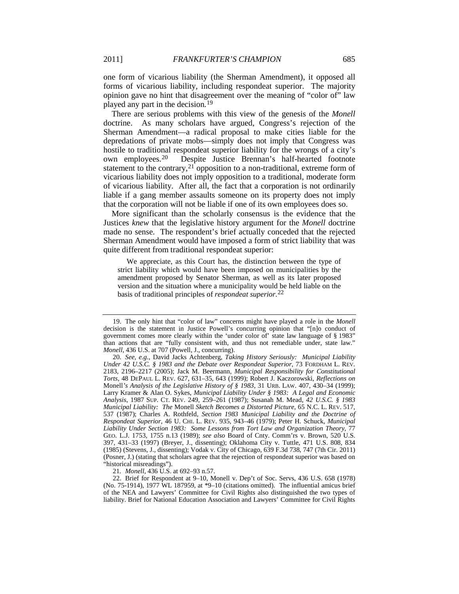one form of vicarious liability (the Sherman Amendment), it opposed all forms of vicarious liability, including respondeat superior. The majority opinion gave no hint that disagreement over the meaning of "color of" law played any part in the decision*.*[19](#page-5-0)

<span id="page-5-4"></span>There are serious problems with this view of the genesis of the *Monell* doctrine. As many scholars have argued, Congress's rejection of the Sherman Amendment—a radical proposal to make cities liable for the depredations of private mobs—simply does not imply that Congress was hostile to traditional respondeat superior liability for the wrongs of a city's own employees.[20](#page-5-1) Despite Justice Brennan's half-hearted footnote statement to the contrary, $2<sup>1</sup>$  opposition to a non-traditional, extreme form of vicarious liability does not imply opposition to a traditional, moderate form of vicarious liability. After all, the fact that a corporation is not ordinarily liable if a gang member assaults someone on its property does not imply that the corporation will not be liable if one of its own employees does so.

More significant than the scholarly consensus is the evidence that the Justices *knew* that the legislative history argument for the *Monell* doctrine made no sense. The respondent's brief actually conceded that the rejected Sherman Amendment would have imposed a form of strict liability that was quite different from traditional respondeat superior:

<span id="page-5-5"></span>We appreciate, as this Court has, the distinction between the type of strict liability which would have been imposed on municipalities by the amendment proposed by Senator Sherman, as well as its later proposed version and the situation where a municipality would be held liable on the basis of traditional principles of *respondeat superior*.[22](#page-5-3)

21*. Monell*, 436 U.S. at 692–93 n.57.

<span id="page-5-3"></span><span id="page-5-2"></span>22. Brief for Respondent at 9–10, Monell v. Dep't of Soc. Servs, 436 U.S. 658 (1978) (No. 75-1914), 1977 WL 187959, at \*9–10 (citations omitted). The influential amicus brief of the NEA and Lawyers' Committee for Civil Rights also distinguished the two types of liability. Brief for National Education Association and Lawyers' Committee for Civil Rights

<span id="page-5-0"></span><sup>19.</sup> The only hint that "color of law" concerns might have played a role in the *Monell* decision is the statement in Justice Powell's concurring opinion that "[n]o conduct of government comes more clearly within the 'under color of' state law language of § 1983" than actions that are "fully consistent with, and thus not remediable under, state law." *Monell*, 436 U.S. at 707 (Powell, J., concurring).

<span id="page-5-1"></span><sup>20</sup>*. See, e.g.*, David Jacks Achtenberg, *Taking History Seriously: Municipal Liability Under 42 U.S.C. § 1983 and the Debate over Respondeat Superior*, 73 FORDHAM L. REV. 2183, 2196–2217 (2005); Jack M. Beermann, *Municipal Responsibility for Constitutional Torts*, 48 DEPAUL L. REV. 627, 631–35, 643 (1999); Robert J. Kaczorowski, *Reflections on*  Monell*'s Analysis of the Legislative History of § 1983*, 31 URB. LAW. 407, 430–34 (1999); Larry Kramer & Alan O. Sykes, *Municipal Liability Under § 1983: A Legal and Economic Analysis*, 1987 SUP. CT. REV. 249, 259–261 (1987); Susanah M. Mead, *42 U.S.C. § 1983 Municipal Liability: The* Monell *Sketch Becomes a Distorted Picture*, 65 N.C. L. REV. 517, 537 (1987); Charles A. Rothfeld, *Section 1983 Municipal Liability and the Doctrine of Respondeat Superior*, 46 U. CHI. L. REV. 935, 943–46 (1979); Peter H. Schuck, *Municipal Liability Under Section 1983: Some Lessons from Tort Law and Organization Theory*, 77 GEO. L.J. 1753, 1755 n.13 (1989); *see also* Board of Cnty. Comm'rs v. Brown, 520 U.S. 397, 431–33 (1997) (Breyer, J., dissenting); Oklahoma City v. Tuttle, 471 U.S. 808, 834 (1985) (Stevens, J., dissenting); Vodak v. City of Chicago, 639 F.3d 738, 747 (7th Cir. 2011) (Posner, J.) (stating that scholars agree that the rejection of respondeat superior was based on "historical misreadings").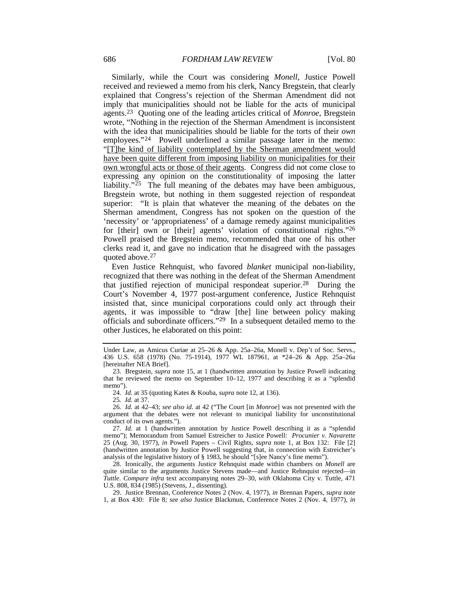<span id="page-6-8"></span>Similarly, while the Court was considering *Monell*, Justice Powell received and reviewed a memo from his clerk, Nancy Bregstein, that clearly explained that Congress's rejection of the Sherman Amendment did not imply that municipalities should not be liable for the acts of municipal agents.[23](#page-6-1) Quoting one of the leading articles critical of *Monroe*, Bregstein wrote, "Nothing in the rejection of the Sherman Amendment is inconsistent with the idea that municipalities should be liable for the torts of their *own* employees."[24](#page-6-2) Powell underlined a similar passage later in the memo: "[T]he kind of liability contemplated by the Sherman amendment would have been quite different from imposing liability on municipalities for their own wrongful acts or those of their agents. Congress did not come close to expressing any opinion on the constitutionality of imposing the latter liability." $25$  The full meaning of the debates may have been ambiguous, Bregstein wrote, but nothing in them suggested rejection of respondeat superior: "It is plain that whatever the meaning of the debates on the Sherman amendment, Congress has not spoken on the question of the 'necessity' or 'appropriateness' of a damage remedy against municipalities for [their] own or [their] agents' violation of constitutional rights."[26](#page-6-4) Powell praised the Bregstein memo, recommended that one of his other clerks read it, and gave no indication that he disagreed with the passages quoted above.[27](#page-6-5)

Even Justice Rehnquist, who favored *blanket* municipal non-liability, recognized that there was nothing in the defeat of the Sherman Amendment that justified rejection of municipal respondeat superior.[28](#page-6-6) During the Court's November 4, 1977 post-argument conference, Justice Rehnquist insisted that, since municipal corporations could only act through their agents, it was impossible to "draw [the] line between policy making officials and subordinate officers."[29](#page-6-7) In a subsequent detailed memo to the other Justices, he elaborated on this point:

25*. Id.* at 37.

<span id="page-6-4"></span><span id="page-6-3"></span><span id="page-6-2"></span>26*. Id.* at 42–43; *see also id.* at 42 ("The Court [in *Monroe*] was not presented with the argument that the debates were not relevant to municipal liability for unconstitutional conduct of its own agents*.*").

<span id="page-6-5"></span>27*. Id.* at 1 (handwritten annotation by Justice Powell describing it as a "splendid memo"); Memorandum from Samuel Estreicher to Justice Powell: *Procunier v. Navarette* 25 (Aug. 30, 1977), *in* Powell Papers – Civil Rights, *supra* note [1,](#page-1-2) at Box 132: File [2] (handwritten annotation by Justice Powell suggesting that, in connection with Estreicher's analysis of the legislative history of § 1983, he should "[s]ee Nancy's fine memo").

<span id="page-6-6"></span>28. Ironically, the arguments Justice Rehnquist made within chambers on *Monell* are quite similar to the arguments Justice Stevens made—and Justice Rehnquist rejected—in *Tuttle*. *Compare infra* text accompanying notes [29](#page-6-0)[–30,](#page-7-0) *with* Oklahoma City v. Tuttle, 471 U.S. 808, 834 (1985) (Stevens, J., dissenting).

<span id="page-6-7"></span>29. Justice Brennan, Conference Notes 2 (Nov. 4, 1977), *in* Brennan Papers, *supra* note [1,](#page-1-2) at Box 430: File 8; *see also* Justice Blackmun, Conference Notes 2 (Nov. 4, 1977), *in*

<span id="page-6-0"></span>Under Law, as Amicus Curiae at 25–26 & App. 25a–26a, Monell v. Dep't of Soc. Servs., 436 U.S. 658 (1978) (No. 75-1914), 1977 WL 187961, at \*24–26 & App. 25a–26a [hereinafter NEA Brief].

<span id="page-6-1"></span><sup>23.</sup> Bregstein, *supra* note [15,](#page-4-7) at 1 (handwritten annotation by Justice Powell indicating that he reviewed the memo on September 10–12, 1977 and describing it as a "splendid memo").

<sup>24</sup>*. Id.* at 35 (quoting Kates & Kouba, *supra* not[e 12,](#page-4-8) at 136).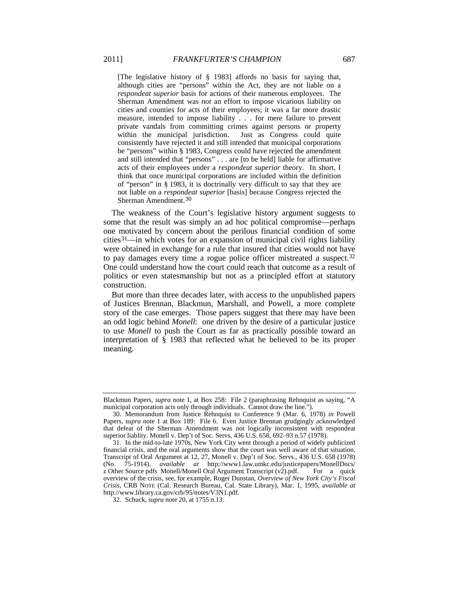[The legislative history of § 1983] affords no basis for saying that, although cities are "persons" within the Act, they are not liable on a *respondeat superior* basis for actions of their numerous employees. The Sherman Amendment was *not* an effort to impose vicarious liability on cities and counties for acts of their employees; it was a far more drastic measure, intended to impose liability . . . for mere failure to prevent private vandals from committing crimes against persons or property within the municipal jurisdiction. Just as Congress could quite consistently have rejected it and still intended that municipal corporations be "persons" within § 1983, Congress could have rejected the amendment and still intended that "persons" . . . are [to be held] liable for affirmative acts of their employees under a *respondeat superior* theory. In short, I think that once municipal corporations are included within the definition of "person" in § 1983, it is doctrinally very difficult to say that they are not liable on a *respondeat superior* [basis] because Congress rejected the Sherman Amendment.[30](#page-7-1)

<span id="page-7-4"></span><span id="page-7-0"></span>The weakness of the Court's legislative history argument suggests to some that the result was simply an ad hoc political compromise—perhaps one motivated by concern about the perilous financial condition of some cities<sup>31</sup>—in which votes for an expansion of municipal civil rights liability were obtained in exchange for a rule that insured that cities would not have to pay damages every time a rogue police officer mistreated a suspect.<sup>[32](#page-7-3)</sup> One could understand how the court could reach that outcome as a result of politics or even statesmanship but not as a principled effort at statutory construction.

But more than three decades later, with access to the unpublished papers of Justices Brennan, Blackmun, Marshall, and Powell, a more complete story of the case emerges. Those papers suggest that there may have been an odd logic behind *Monell*: one driven by the desire of a particular justice to use *Monell* to push the Court as far as practically possible toward an interpretation of § 1983 that reflected what he believed to be its proper meaning.

Blackmun Papers, *supra* note [1,](#page-1-2) at Box 258: File 2 (paraphrasing Rehnquist as saying, "A municipal corporation acts only through individuals. Cannot draw the line."

<span id="page-7-1"></span><sup>30.</sup> Memorandum from Justice Rehnquist to Conference 9 (Mar. 6, 1978) *in* Powell Papers, *supra* note [1](#page-1-2) at Box 189: File 6. Even Justice Brennan grudgingly acknowledged that defeat of the Sherman Amendment was not logically inconsistent with respondeat superior liablity. Monell v. Dep't of Soc. Servs, 436 U.S. 658, 692–93 n.57 (1978).

<span id="page-7-2"></span><sup>31.</sup> In the mid-to-late 1970s, New York City went through a period of widely publicized financial crisis, and the oral arguments show that the court was well aware of that situation. Transcript of Oral Argument at 12, 27, Monell v. Dep't of Soc. Servs., 436 U.S. 658 (1978)<br>(No. 75-1914), *available at* http://www1.law.umkc.edu/justicepapers/MonellDocs/ (No. 75-1914), *available at* http://www1.law.umkc.edu/justicepapers/MonellDocs/ z Other Source pdfs Monell/Monell Oral Argument Transcript  $(v2)$ .pdf. For a quick overview of the crisis, see, for example, Roger Dunstan, *Overview of New York City's Fiscal Crisis,* CRB NOTE (Cal. Research Bureau, Cal. State Library), Mar. 1, 1995, *available at* http://www.library.ca.gov/crb/95/notes/V3N1.pdf.

<span id="page-7-3"></span><sup>32.</sup> Schuck, *supra* not[e 20,](#page-5-4) at 1755 n.13.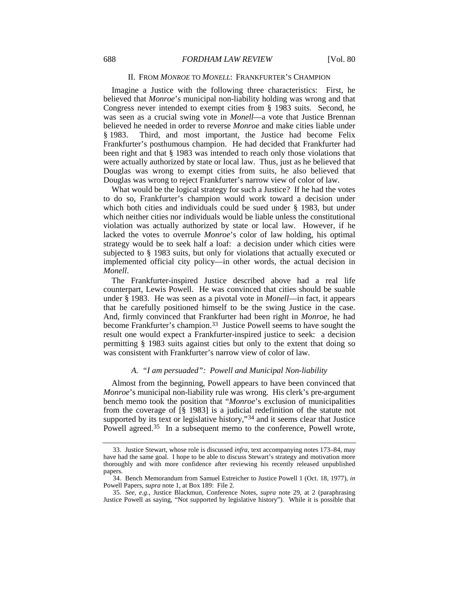#### II. FROM *MONROE* TO *MONELL*: FRANKFURTER'S CHAMPION

Imagine a Justice with the following three characteristics: First, he believed that *Monroe*'s municipal non-liability holding was wrong and that Congress never intended to exempt cities from § 1983 suits. Second, he was seen as a crucial swing vote in *Monell*—a vote that Justice Brennan believed he needed in order to reverse *Monroe* and make cities liable under § 1983. Third, and most important, the Justice had become Felix Frankfurter's posthumous champion. He had decided that Frankfurter had been right and that § 1983 was intended to reach only those violations that were actually authorized by state or local law. Thus, just as he believed that Douglas was wrong to exempt cities from suits, he also believed that Douglas was wrong to reject Frankfurter's narrow view of color of law.

What would be the logical strategy for such a Justice? If he had the votes to do so, Frankfurter's champion would work toward a decision under which both cities and individuals could be sued under § 1983, but under which neither cities nor individuals would be liable unless the constitutional violation was actually authorized by state or local law. However, if he lacked the votes to overrule *Monroe*'s color of law holding, his optimal strategy would be to seek half a loaf: a decision under which cities were subjected to § 1983 suits, but only for violations that actually executed or implemented official city policy—in other words, the actual decision in *Monell*.

The Frankfurter-inspired Justice described above had a real life counterpart, Lewis Powell. He was convinced that cities should be suable under § 1983. He was seen as a pivotal vote in *Monell*—in fact, it appears that he carefully positioned himself to be the swing Justice in the case. And, firmly convinced that Frankfurter had been right in *Monroe*, he had become Frankfurter's champion.<sup>[33](#page-8-0)</sup> Justice Powell seems to have sought the result one would expect a Frankfurter-inspired justice to seek: a decision permitting § 1983 suits against cities but only to the extent that doing so was consistent with Frankfurter's narrow view of color of law.

#### <span id="page-8-3"></span>*A. "I am persuaded": Powell and Municipal Non-liability*

Almost from the beginning, Powell appears to have been convinced that *Monroe*'s municipal non-liability rule was wrong. His clerk's pre-argument bench memo took the position that "*Monroe*'s exclusion of municipalities from the coverage of [§ 1983] is a judicial redefinition of the statute not supported by its text or legislative history,"<sup>[34](#page-8-1)</sup> and it seems clear that Justice Powell agreed.<sup>[35](#page-8-2)</sup> In a subsequent memo to the conference, Powell wrote,

<span id="page-8-0"></span><sup>33.</sup> Justice Stewart, whose role is discussed *infra,* text accompanying notes [173–](#page-30-0)84, may have had the same goal. I hope to be able to discuss Stewart's strategy and motivation more thoroughly and with more confidence after reviewing his recently released unpublished papers.

<span id="page-8-1"></span><sup>34.</sup> Bench Memorandum from Samuel Estreicher to Justice Powell 1 (Oct. 18, 1977), *in* Powell Papers, *supra* not[e 1,](#page-1-2) at Box 189: File 2.

<span id="page-8-2"></span><sup>35</sup>*. See, e.g.*, Justice Blackmun, Conference Notes, *supra* note [29,](#page-6-0) at 2 (paraphrasing Justice Powell as saying, "Not supported by legislative history"). While it is possible that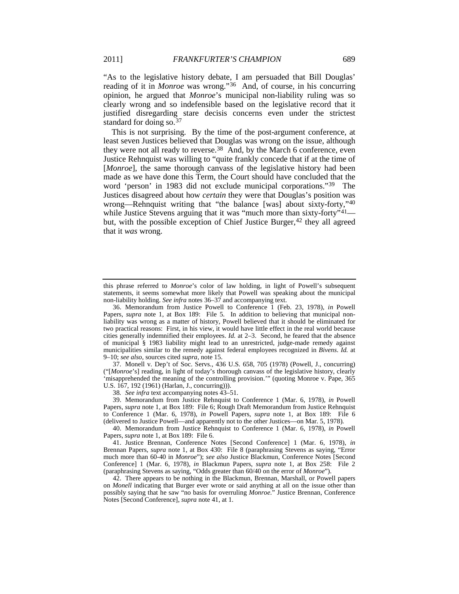<span id="page-9-0"></span>"As to the legislative history debate, I am persuaded that Bill Douglas' reading of it in *Monroe* was wrong."[36](#page-9-3) And, of course, in his concurring opinion, he argued that *Monroe*'s municipal non-liability ruling was so clearly wrong and so indefensible based on the legislative record that it justified disregarding stare decisis concerns even under the strictest standard for doing so.<sup>[37](#page-9-4)</sup>

<span id="page-9-1"></span>This is not surprising. By the time of the post-argument conference, at least seven Justices believed that Douglas was wrong on the issue, although they were not all ready to reverse.<sup>38</sup> And, by the March 6 conference, even Justice Rehnquist was willing to "quite frankly concede that if at the time of [*Monroe*], the same thorough canvass of the legislative history had been made as we have done this Term, the Court should have concluded that the word 'person' in 1983 did not exclude municipal corporations."[39](#page-9-6) The Justices disagreed about how *certain* they were that Douglas's position was wrong—Rehnquist writing that "the balance [was] about sixty-forty,"<sup>[40](#page-9-7)</sup> while Justice Stevens arguing that it was "much more than sixty-forty"<sup>[41](#page-9-8)</sup>— but, with the possible exception of Chief Justice Burger,<sup>[42](#page-9-9)</sup> they all agreed that it *was* wrong.

<span id="page-9-4"></span>37. Monell v. Dep't of Soc. Servs., 436 U.S. 658, 705 (1978) (Powell, J., concurring) ("[*Monroe*'s] reading, in light of today's thorough canvass of the legislative history, clearly 'misapprehended the meaning of the controlling provision.'" (quoting Monroe v. Pape, 365 U.S. 167, 192 (1961) (Harlan, J., concurring))).

38*. See infra* text accompanying note[s 43](#page-10-0)[–51.](#page-11-0)

<span id="page-9-6"></span><span id="page-9-5"></span>39. Memorandum from Justice Rehnquist to Conference 1 (Mar. 6, 1978), *in* Powell Papers, *supra* not[e 1,](#page-1-2) at Box 189: File 6; Rough Draft Memorandum from Justice Rehnquist to Conference 1 (Mar. 6, 1978), *in* Powell Papers, *supra* note [1,](#page-1-2) at Box 189: File 6 (delivered to Justice Powell—and apparently not to the other Justices—on Mar. 5, 1978).

<span id="page-9-7"></span>40. Memorandum from Justice Rehnquist to Conference 1 (Mar. 6, 1978), *in* Powell Papers, *supra* note [1,](#page-1-2) at Box 189: File 6.

<span id="page-9-8"></span>41. Justice Brennan, Conference Notes [Second Conference] 1 (Mar. 6, 1978), *in* Brennan Papers, *supra* note [1,](#page-1-2) at Box 430: File 8 (paraphrasing Stevens as saying, "Error much more than 60-40 in *Monroe*"); *see also* Justice Blackmun, Conference Notes [Second Conference] 1 (Mar. 6, 1978), *in* Blackmun Papers, *supra* note [1,](#page-1-2) at Box 258: File 2 (paraphrasing Stevens as saying, "Odds greater than 60/40 on the error of *Monroe*").

<span id="page-9-9"></span>42. There appears to be nothing in the Blackmun, Brennan, Marshall, or Powell papers on *Monell* indicating that Burger ever wrote or said anything at all on the issue other than possibly saying that he saw "no basis for overruling *Monroe*." Justice Brennan, Conference Notes [Second Conference], *supra* not[e 41,](#page-9-2) at 1.

<span id="page-9-2"></span>this phrase referred to *Monroe*'s color of law holding, in light of Powell's subsequent statements, it seems somewhat more likely that Powell was speaking about the municipal non-liability holding. *See infra* notes [36–](#page-9-0)[37](#page-9-1) and accompanying text.

<span id="page-9-3"></span><sup>36.</sup> Memorandum from Justice Powell to Conference 1 (Feb. 23, 1978), *in* Powell Papers, *supra* note [1,](#page-1-2) at Box 189: File 5. In addition to believing that municipal nonliability was wrong as a matter of history, Powell believed that it should be eliminated for two practical reasons: First, in his view, it would have little effect in the real world because cities generally indemnified their employees. *Id.* at 2–3. Second, he feared that the absence of municipal § 1983 liability might lead to an unrestricted, judge-made remedy against municipalities similar to the remedy against federal employees recognized in *Bivens*. *Id.* at 9–10; *see also,* sources cited *supra,* not[e 15.](#page-4-7)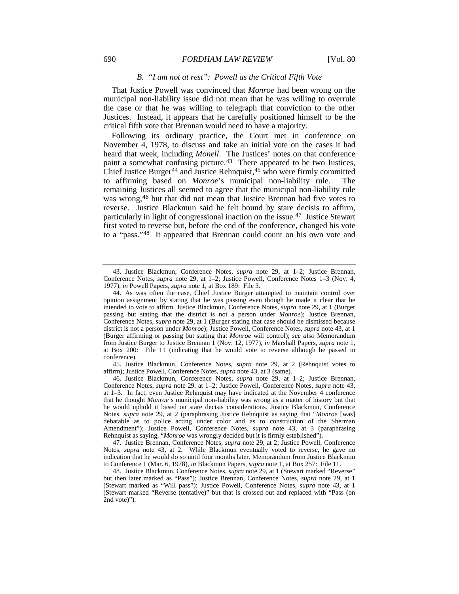#### <span id="page-10-0"></span>*B. "I am not at rest": Powell as the Critical Fifth Vote*

That Justice Powell was convinced that *Monroe* had been wrong on the municipal non-liability issue did not mean that he was willing to overrule the case or that he was willing to telegraph that conviction to the other Justices. Instead, it appears that he carefully positioned himself to be the critical fifth vote that Brennan would need to have a majority.

Following its ordinary practice, the Court met in conference on November 4, 1978, to discuss and take an initial vote on the cases it had heard that week, including *Monell*. The Justices' notes on that conference paint a somewhat confusing picture.<sup>43</sup> There appeared to be two Justices, Chief Justice Burger<sup>[44](#page-10-2)</sup> and Justice Rehnquist,  $45$  who were firmly committed to affirming based on *Monroe*'s municipal non-liability rule. The remaining Justices all seemed to agree that the municipal non-liability rule was wrong,[46](#page-10-4) but that did not mean that Justice Brennan had five votes to reverse. Justice Blackmun said he felt bound by stare decisis to affirm, particularly in light of congressional inaction on the issue.[47](#page-10-5) Justice Stewart first voted to reverse but, before the end of the conference, changed his vote to a "pass.["48](#page-10-6) It appeared that Brennan could count on his own vote and

<span id="page-10-3"></span>45. Justice Blackmun, Conference Notes, *supra* note [29,](#page-6-0) at 2 (Rehnquist votes to affirm); Justice Powell, Conference Notes, *supra* not[e 43,](#page-10-0) at 3 (same).

<span id="page-10-4"></span>46. Justice Blackmun, Conference Notes, *supra* note [29,](#page-6-0) at 1–2; Justice Brennan, Conference Notes, *supra* note [29,](#page-6-0) at 1–2; Justice Powell, Conference Notes, *supra* note [43,](#page-10-0)  at 1–3. In fact, even Justice Rehnquist may have indicated at the November 4 conference that he thought *Monroe*'s municipal non-liability was wrong as a matter of history but that he would uphold it based on stare decisis considerations. Justice Blackmun, Conference Notes, *supra* note [29,](#page-6-0) at 2 (paraphrasing Justice Rehnquist as saying that "*Monroe* [was] debatable as to police acting under color and as to construction of the Sherman Amendment"); Justice Powell, Conference Notes, *supra* note [43,](#page-10-0) at 3 (paraphrasing Rehnquist as saying, "*Monroe* was wrongly decided but it is firmly established").

<span id="page-10-5"></span>47. Justice Brennan, Conference Notes, *supra* note [29,](#page-6-0) at 2; Justice Powell, Conference Notes, *supra* note [43,](#page-10-0) at 2. While Blackmun eventually voted to reverse, he gave no indication that he would do so until four months later. Memorandum from Justice Blackmun to Conference 1 (Mar. 6, 1978), *in* Blackmun Papers, *supra* not[e 1,](#page-1-2) at Box 257: File 11.

<span id="page-10-1"></span><sup>43.</sup> Justice Blackmun, Conference Notes, *supra* note [29,](#page-6-0) at 1–2; Justice Brennan, Conference Notes, *supra* note [29,](#page-6-0) at 1–2; Justice Powell, Conference Notes 1–3 (Nov. 4, 1977), *in* Powell Papers, *supra* note [1,](#page-1-2) at Box 189: File 3.

<span id="page-10-2"></span><sup>44.</sup> As was often the case, Chief Justice Burger attempted to maintain control over opinion assignment by stating that he was passing even though he made it clear that he intended to vote to affirm. Justice Blackmun, Conference Notes, *supra* note [29,](#page-6-0) at 1 (Burger passing but stating that the district is not a person under *Monroe*); Justice Brennan, Conference Notes, *supra* note [29,](#page-6-0) at 1 (Burger stating that case should be dismissed because district is not a person under *Monroe*); Justice Powell, Conference Notes, *supra* note [43,](#page-10-0) at 1 (Burger affirming or passing but stating that *Monroe* will control); *see also* Memorandum from Justice Burger to Justice Brennan 1 (Nov. 12, 1977), *in* Marshall Papers, *supra* note [1,](#page-1-2)  at Box 200: File 11 (indicating that he would vote to reverse although he passed in conference).

<span id="page-10-6"></span><sup>48.</sup> Justice Blackmun, Conference Notes, *supra* not[e 29,](#page-6-0) at 1 (Stewart marked "Reverse" but then later marked as "Pass"); Justice Brennan, Conference Notes, *supra* note [29,](#page-6-0) at 1 (Stewart marked as "Will pass"); Justice Powell, Conference Notes, *supra* note [43,](#page-10-0) at 1 (Stewart marked "Reverse (tentative)" but that is crossed out and replaced with "Pass (on 2nd vote)").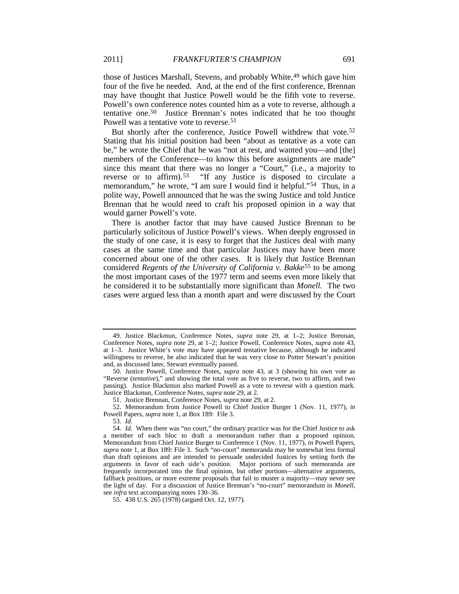those of Justices Marshall, Stevens, and probably White,<sup>49</sup> which gave him four of the five he needed. And, at the end of the first conference, Brennan may have thought that Justice Powell would be the fifth vote to reverse. Powell's own conference notes counted him as a vote to reverse, although a tentative one.[50](#page-11-2) Justice Brennan's notes indicated that he too thought Powell was a tentative vote to reverse.<sup>51</sup>

<span id="page-11-8"></span><span id="page-11-0"></span>But shortly after the conference, Justice Powell withdrew that vote.<sup>[52](#page-11-4)</sup> Stating that his initial position had been "about as tentative as a vote can be," he wrote the Chief that he was "not at rest, and wanted you—and [the] members of the Conference—to know this before assignments are made" since this meant that there was no longer a "Court," (i.e., a majority to reverse or to affirm).<sup>[53](#page-11-5)</sup> "If any Justice is disposed to circulate a memorandum," he wrote, "I am sure I would find it helpful."<sup>[54](#page-11-6)</sup> Thus, in a polite way, Powell announced that he was the swing Justice and told Justice Brennan that he would need to craft his proposed opinion in a way that would garner Powell's vote.

<span id="page-11-9"></span>There is another factor that may have caused Justice Brennan to be particularly solicitous of Justice Powell's views. When deeply engrossed in the study of one case, it is easy to forget that the Justices deal with many cases at the same time and that particular Justices may have been more concerned about one of the other cases. It is likely that Justice Brennan considered *Regents of the University of California v. Bakke<sup>[55](#page-11-7)</sup>* to be among the most important cases of the 1977 term and seems even more likely that he considered it to be substantially more significant than *Monell.* The two cases were argued less than a month apart and were discussed by the Court

<span id="page-11-1"></span><sup>49.</sup> Justice Blackmun, Conference Notes, *supra* note [29,](#page-6-0) at 1–2; Justice Brennan, Conference Notes, *supra* note [29,](#page-6-0) at 1–2; Justice Powell, Conference Notes, *supra* note [43,](#page-10-0) at 1–3. Justice White's vote may have appeared tentative because, although he indicated willingness to reverse, he also indicated that he was very close to Potter Stewart's position and, as discussed later, Stewart eventually passed.

<span id="page-11-2"></span><sup>50.</sup> Justice Powell, Conference Notes, *supra* note [43,](#page-10-0) at 3 (showing his own vote as "Reverse (*tentative*)," and showing the total vote as five to reverse, two to affirm, and two passing). Justice Blackmun also marked Powell as a vote to reverse with a question mark. Justice Blackmun, Conference Notes, *supra* note [29,](#page-6-0) at 2.

<sup>51.</sup> Justice Brennan, Conference Notes, *supra* not[e 29,](#page-6-0) at 2.

<span id="page-11-4"></span><span id="page-11-3"></span><sup>52.</sup> Memorandum from Justice Powell to Chief Justice Burger 1 (Nov. 11, 1977), *in* Powell Papers, *supra* not[e 1,](#page-1-2) at Box 189: File 3.

<sup>53</sup>*. Id.*

<span id="page-11-6"></span><span id="page-11-5"></span><sup>54</sup>*. Id.* When there was "no court," the ordinary practice was for the Chief Justice to ask a member of each bloc to draft a memorandum rather than a proposed opinion. Memorandum from Chief Justice Burger to Conference 1 (Nov. 11, 1977), *in* Powell Papers, *supra* note [1,](#page-1-2) at Box 189: File 3. Such "no-court" memoranda may be somewhat less formal than draft opinions and are intended to persuade undecided Justices by setting forth the arguments in favor of each side's position. Major portions of such memoranda are frequently incorporated into the final opinion, but other portions—alternative arguments, fallback positions, or more extreme proposals that fail to muster a majority—may never see the light of day. For a discussion of Justice Brennan's "no-court" memorandum in *Monell*, see *infra* text accompanying note[s 130–](#page-24-0)36.

<span id="page-11-7"></span><sup>55.</sup> 438 U.S. 265 (1978) (argued Oct. 12, 1977).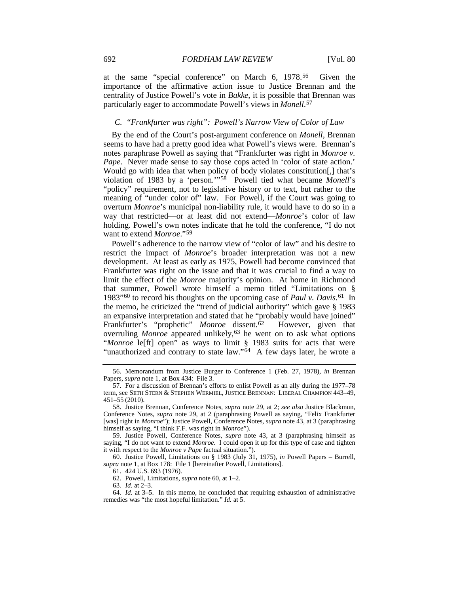at the same "special conference" on March 6, 1978[.56](#page-12-1) Given the importance of the affirmative action issue to Justice Brennan and the centrality of Justice Powell's vote in *Bakke*, it is possible that Brennan was particularly eager to accommodate Powell's views in *Monell*.[57](#page-12-2)

#### <span id="page-12-10"></span>*C. "Frankfurter was right": Powell's Narrow View of Color of Law*

By the end of the Court's post-argument conference on *Monell*, Brennan seems to have had a pretty good idea what Powell's views were. Brennan's notes paraphrase Powell as saying that "Frankfurter was right in *Monroe v. Pape.* Never made sense to say those cops acted in 'color of state action.' Would go with idea that when policy of body violates constitution[,] that's violation of 1983 by a 'person.'"[58](#page-12-3) Powell tied what became *Monell*'s "policy" requirement, not to legislative history or to text, but rather to the meaning of "under color of" law. For Powell, if the Court was going to overturn *Monroe*'s municipal non-liability rule, it would have to do so in a way that restricted—or at least did not extend—*Monroe*'s color of law holding. Powell's own notes indicate that he told the conference, "I do not want to extend *Monroe*."[59](#page-12-4)

<span id="page-12-0"></span>Powell's adherence to the narrow view of "color of law" and his desire to restrict the impact of *Monroe*'s broader interpretation was not a new development. At least as early as 1975, Powell had become convinced that Frankfurter was right on the issue and that it was crucial to find a way to limit the effect of the *Monroe* majority's opinion. At home in Richmond that summer, Powell wrote himself a memo titled "Limitations on § 1983"[60](#page-12-5) to record his thoughts on the upcoming case of *Paul v. Davis*.[61](#page-12-6) In the memo, he criticized the "trend of judicial authority" which gave § 1983 an expansive interpretation and stated that he "probably would have joined" Frankfurter's "prophetic" *Monroe* dissent.<sup>[62](#page-12-7)</sup> However, given that overruling *Monroe* appeared unlikely,<sup>[63](#page-12-8)</sup> he went on to ask what options "*Monroe* le[ft] open" as ways to limit § 1983 suits for acts that were "unauthorized and contrary to state law."<sup>[64](#page-12-9)</sup> A few days later, he wrote a

<span id="page-12-6"></span><span id="page-12-5"></span>60. Justice Powell, Limitations on § 1983 (July 31, 1975), *in* Powell Papers – Burrell, *supra* not[e 1,](#page-1-2) at Box 178: File 1 [hereinafter Powell, Limitations].

63*. Id.* at 2–3.

<span id="page-12-1"></span><sup>56.</sup> Memorandum from Justice Burger to Conference 1 (Feb. 27, 1978), *in* Brennan Papers, *supra* note [1,](#page-1-2) at Box 434: File 3.

<span id="page-12-2"></span><sup>57.</sup> For a discussion of Brennan's efforts to enlist Powell as an ally during the 1977–78 term, see SETH STERN & STEPHEN WERMIEL, JUSTICE BRENNAN: LIBERAL CHAMPION 443–49, 451–55 (2010).

<span id="page-12-3"></span><sup>58.</sup> Justice Brennan, Conference Notes, *supra* note [29,](#page-6-0) at 2; *see also* Justice Blackmun, Conference Notes, *supra* note [29,](#page-6-0) at 2 (paraphrasing Powell as saying, "Felix Frankfurter [was] right in *Monroe*"); Justice Powell, Conference Notes, *supra* not[e 43,](#page-10-0) at 3 (paraphrasing himself as saying, "I think F.F. was right in *Monroe*").

<span id="page-12-4"></span><sup>59.</sup> Justice Powell, Conference Notes, *supra* note [43,](#page-10-0) at 3 (paraphrasing himself as saying, "I do not want to extend *Monroe*. I could open it up for this type of case and tighten it with respect to the *Monroe v Pape* factual situation.").

<sup>61.</sup> 424 U.S. 693 (1976).

<sup>62.</sup> Powell, Limitations, *supra* note [60,](#page-12-0) at 1–2.

<span id="page-12-9"></span><span id="page-12-8"></span><span id="page-12-7"></span><sup>64</sup>*. Id.* at 3–5. In this memo, he concluded that requiring exhaustion of administrative remedies was "the most hopeful limitation." *Id.* at 5.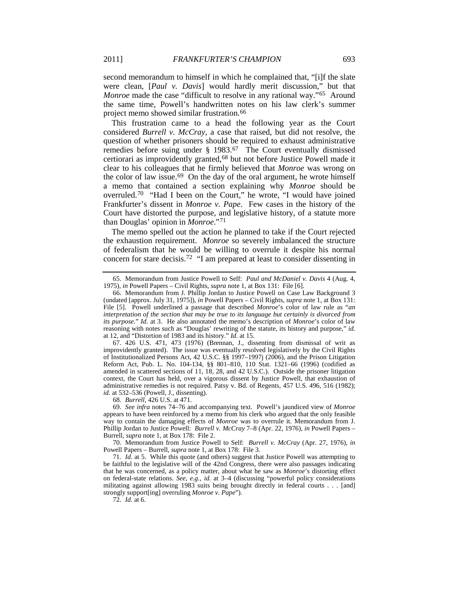second memorandum to himself in which he complained that, "[i]f the slate were clean, [*Paul v. Davis*] would hardly merit discussion," but that *Monroe* made the case "difficult to resolve in any rational way."<sup>[65](#page-13-0)</sup> Around the same time, Powell's handwritten notes on his law clerk's summer project memo showed similar frustration.[66](#page-13-1)

This frustration came to a head the following year as the Court considered *Burrell v. McCray*, a case that raised, but did not resolve, the question of whether prisoners should be required to exhaust administrative remedies before suing under § 1983.[67](#page-13-2) The Court eventually dismissed certiorari as improvidently granted,[68](#page-13-3) but not before Justice Powell made it clear to his colleagues that he firmly believed that *Monroe* was wrong on the color of law issue.<sup>69</sup> On the day of the oral argument, he wrote himself a memo that contained a section explaining why *Monroe* should be overruled[.70](#page-13-5) "Had I been on the Court," he wrote, "I would have joined Frankfurter's dissent in *Monroe v. Pape*. Few cases in the history of the Court have distorted the purpose, and legislative history, of a statute more than Douglas' opinion in *Monroe*."[71](#page-13-6)

<span id="page-13-9"></span><span id="page-13-8"></span>The memo spelled out the action he planned to take if the Court rejected the exhaustion requirement. *Monroe* so severely imbalanced the structure of federalism that he would be willing to overrule it despite his normal concern for stare decisis.[72](#page-13-7) "I am prepared at least to consider dissenting in

<span id="page-13-2"></span>67. 426 U.S. 471, 473 (1976) (Brennan, J., dissenting from dismissal of writ as improvidently granted). The issue was eventually resolved legislatively by the Civil Rights of Institutionalized Persons Act, 42 U.S.C. §§ 1997–1997j (2006), and the Prison Litigation Reform Act, Pub. L. No. 104-134, §§ 801–810, 110 Stat. 1321–66 (1996) (codified as amended in scattered sections of 11, 18, 28, and 42 U.S.C.). Outside the prisoner litigation context, the Court has held, over a vigorous dissent by Justice Powell, that exhaustion of administrative remedies is not required. Patsy v. Bd. of Regents*,* 457 U.S. 496, 516 (1982); *id.* at 532–536 (Powell, J., dissenting).

68*. Burrell*, 426 U.S. at 471.

<span id="page-13-4"></span><span id="page-13-3"></span>69*. See infra* notes [74–](#page-14-0)[76](#page-14-1) and accompanying text. Powell's jaundiced view of *Monroe* appears to have been reinforced by a memo from his clerk who argued that the only feasible way to contain the damaging effects of *Monroe* was to overrule it. Memorandum from J. Phillip Jordan to Justice Powell: *Burrell v. McCray* 7–8 (Apr. 22, 1976), *in* Powell Papers – Burrell, *supra* not[e 1,](#page-1-2) at Box 178: File 2.

<span id="page-13-5"></span>70. Memorandum from Justice Powell to Self: *Burrell v. McCray* (Apr. 27, 1976), *in* Powell Papers – Burrell, *supra* not[e 1,](#page-1-2) at Box 178: File 3.

<span id="page-13-7"></span><span id="page-13-6"></span>71*. Id.* at 5. While this quote (and others) suggest that Justice Powell was attempting to be faithful to the legislative will of the 42nd Congress, there were also passages indicating that he was concerned, as a policy matter, about what he saw as *Monroe*'s distorting effect on federal-state relations. *See, e.g.*, *id.* at 3–4 (discussing "powerful policy considerations militating against allowing 1983 suits being brought directly in federal courts . . . [and] strongly support[ing] overruling *Monroe v. Pape*").

72*. Id.* at 6.

<sup>65.</sup> Memorandum from Justice Powell to Self: *Paul and McDaniel v. Davis* 4 (Aug. 4, 1975), *in* Powell Papers – Civil Rights, *supra* note [1,](#page-1-2) at Box 131: File [6].

<span id="page-13-1"></span><span id="page-13-0"></span><sup>66.</sup> Memorandum from J. Phillip Jordan to Justice Powell on Case Law Background 3 (undated [approx. July 31, 1975]), *in* Powell Papers – Civil Rights, *supra* note [1,](#page-1-2) at Box 131: File [5]. Powell underlined a passage that described *Monroe*'s color of law rule as "*an interpretation of the section that may be true to its language but certainly is divorced from its purpose*." *Id.* at 3. He also annotated the memo's description of *Monroe*'s color of law reasoning with notes such as "Douglas' rewriting of the statute, its history and purpose," *id.* at 12, and "Distortion of 1983 and its history." *Id.* at 15.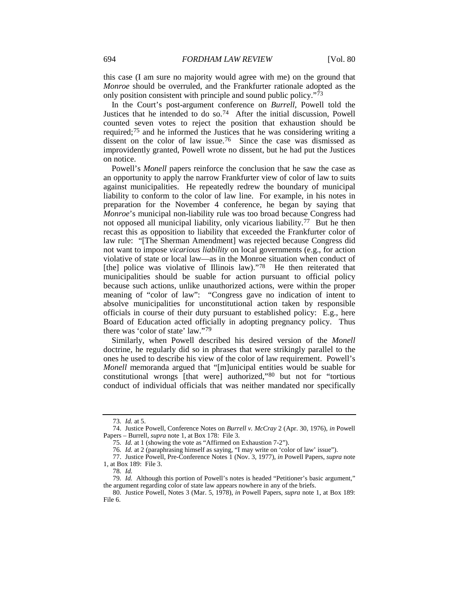this case (I am sure no majority would agree with me) on the ground that *Monroe* should be overruled, and the Frankfurter rationale adopted as the only position consistent with principle and sound public policy."[73](#page-14-2)

<span id="page-14-0"></span>In the Court's post-argument conference on *Burrell*, Powell told the Justices that he intended to do so.[74](#page-14-3) After the initial discussion, Powell counted seven votes to reject the position that exhaustion should be required;[75](#page-14-4) and he informed the Justices that he was considering writing a dissent on the color of law issue.<sup>[76](#page-14-5)</sup> Since the case was dismissed as improvidently granted, Powell wrote no dissent, but he had put the Justices on notice.

<span id="page-14-1"></span>Powell's *Monell* papers reinforce the conclusion that he saw the case as an opportunity to apply the narrow Frankfurter view of color of law to suits against municipalities. He repeatedly redrew the boundary of municipal liability to conform to the color of law line. For example, in his notes in preparation for the November 4 conference, he began by saying that *Monroe*'s municipal non-liability rule was too broad because Congress had not opposed all municipal liability, only vicarious liability. [77](#page-14-6) But he then recast this as opposition to liability that exceeded the Frankfurter color of law rule: "[The Sherman Amendment] was rejected because Congress did not want to impose *vicarious liability* on local governments (e.g., for action violative of state or local law—as in the Monroe situation when conduct of [the] police was violative of Illinois law)."[78](#page-14-7) He then reiterated that municipalities should be suable for action pursuant to official policy because such actions, unlike unauthorized actions, were within the proper meaning of "color of law": "Congress gave no indication of intent to absolve municipalities for unconstitutional action taken by responsible officials in course of their duty pursuant to established policy: E.g., here Board of Education acted officially in adopting pregnancy policy. Thus there was 'color of state' law."[79](#page-14-8)

Similarly, when Powell described his desired version of the *Monell* doctrine, he regularly did so in phrases that were strikingly parallel to the ones he used to describe his view of the color of law requirement. Powell's *Monell* memoranda argued that "[m]unicipal entities would be suable for constitutional wrongs [that were] authorized,"[80](#page-14-9) but not for "tortious conduct of individual officials that was neither mandated nor specifically

<sup>73</sup>*. Id.* at 5.

<span id="page-14-4"></span><span id="page-14-3"></span><span id="page-14-2"></span><sup>74.</sup> Justice Powell, Conference Notes on *Burrell v. McCray* 2 (Apr. 30, 1976), *in* Powell Papers – Burrell, *supra* note 1, at Box 178: File 3.

<sup>75</sup>*. Id.* at 1 (showing the vote as "Affirmed on Exhaustion 7-2").

<sup>76</sup>*. Id.* at 2 (paraphrasing himself as saying, "I may write on 'color of law' issue").

<span id="page-14-6"></span><span id="page-14-5"></span><sup>77.</sup> Justice Powell, Pre-Conference Notes 1 (Nov. 3, 1977), *in* Powell Papers, *supra* note [1,](#page-1-2) at Box 189: File 3.

<sup>78</sup>*. Id.*

<span id="page-14-8"></span><span id="page-14-7"></span><sup>79</sup>*. Id.* Although this portion of Powell's notes is headed "Petitioner's basic argument," the argument regarding color of state law appears nowhere in any of the briefs.

<span id="page-14-9"></span><sup>80.</sup> Justice Powell, Notes 3 (Mar. 5, 1978), *in* Powell Papers, *supra* note [1,](#page-1-2) at Box 189: File 6.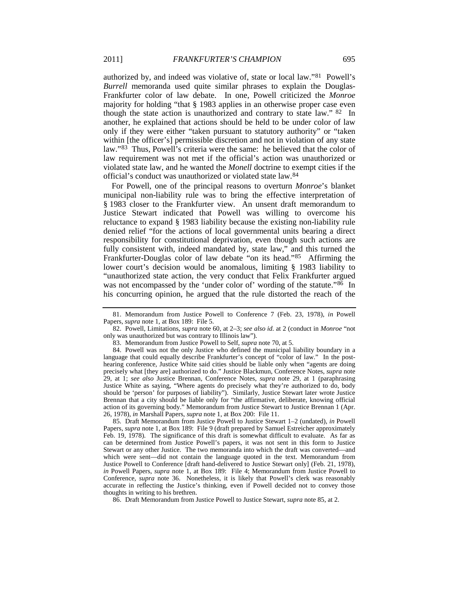authorized by, and indeed was violative of, state or local law."[81](#page-15-1) Powell's *Burrell* memoranda used quite similar phrases to explain the Douglas-Frankfurter color of law debate. In one, Powell criticized the *Monroe* majority for holding "that § 1983 applies in an otherwise proper case even though the state action is unauthorized and contrary to state law."  $82 \text{ In}$  $82 \text{ In}$ another, he explained that actions should be held to be under color of law only if they were either "taken pursuant to statutory authority" or "taken within [the officer's] permissible discretion and not in violation of any state law."[83](#page-15-3) Thus, Powell's criteria were the same: he believed that the color of law requirement was not met if the official's action was unauthorized or violated state law, and he wanted the *Monell* doctrine to exempt cities if the official's conduct was unauthorized or violated state law.[84](#page-15-4)

For Powell, one of the principal reasons to overturn *Monroe*'s blanket municipal non-liability rule was to bring the effective interpretation of § 1983 closer to the Frankfurter view. An unsent draft memorandum to Justice Stewart indicated that Powell was willing to overcome his reluctance to expand § 1983 liability because the existing non-liability rule denied relief "for the actions of local governmental units bearing a direct responsibility for constitutional deprivation, even though such actions are fully consistent with, indeed mandated by, state law," and this turned the Frankfurter-Douglas color of law debate "on its head."[85](#page-15-5) Affirming the lower court's decision would be anomalous, limiting § 1983 liability to "unauthorized state action, the very conduct that Felix Frankfurter argued was not encompassed by the 'under color of' wording of the statute."<sup>[86](#page-15-6)</sup> In his concurring opinion, he argued that the rule distorted the reach of the

<span id="page-15-5"></span>85. Draft Memorandum from Justice Powell to Justice Stewart 1–2 (undated), *in* Powell Papers, *supra* note [1,](#page-1-2) at Box 189: File 9 (draft prepared by Samuel Estreicher approximately Feb. 19, 1978). The significance of this draft is somewhat difficult to evaluate. As far as can be determined from Justice Powell's papers, it was not sent in this form to Justice Stewart or any other Justice. The two memoranda into which the draft was converted—and which were sent—did not contain the language quoted in the text. Memorandum from Justice Powell to Conference [draft hand-delivered to Justice Stewart only] (Feb. 21, 1978), *in* Powell Papers, *supra* note [1,](#page-1-2) at Box 189: File 4; Memorandum from Justice Powell to Conference, *supra* note [36.](#page-9-0) Nonetheless, it is likely that Powell's clerk was reasonably accurate in reflecting the Justice's thinking, even if Powell decided not to convey those thoughts in writing to his brethren.

<span id="page-15-6"></span>86. Draft Memorandum from Justice Powell to Justice Stewart, *supra* not[e 85,](#page-15-0) at 2.

<span id="page-15-0"></span><sup>81.</sup> Memorandum from Justice Powell to Conference 7 (Feb. 23, 1978), *in* Powell Papers, *supra* note [1,](#page-1-2) at Box 189: File 5.

<span id="page-15-2"></span><span id="page-15-1"></span><sup>82.</sup> Powell, Limitations, *supra* note [60,](#page-12-0) at 2–3; *see also id.* at 2 (conduct in *Monroe* "not only was unauthorized but was contrary to Illinois law").

<sup>83.</sup> Memorandum from Justice Powell to Self, *supra* not[e 70,](#page-13-8) at 5.

<span id="page-15-4"></span><span id="page-15-3"></span><sup>84.</sup> Powell was not the only Justice who defined the municipal liability boundary in a language that could equally describe Frankfurter's concept of "color of law." In the posthearing conference, Justice White said cities should be liable only when "agents are doing precisely what [they are] authorized to do." Justice Blackmun, Conference Notes, *supra* note [29,](#page-6-0) at 1; *see also* Justice Brennan, Conference Notes, *supra* note [29,](#page-6-0) at 1 (paraphrasing Justice White as saying, "Where agents do precisely what they're authorized to do, body should be 'person' for purposes of liability"). Similarly, Justice Stewart later wrote Justice Brennan that a city should be liable only for "the affirmative, deliberate, knowing official action of its governing body." Memorandum from Justice Stewart to Justice Brennan 1 (Apr. 26, 1978), *in* Marshall Papers, *supra* note 1, at Box 200: File 11.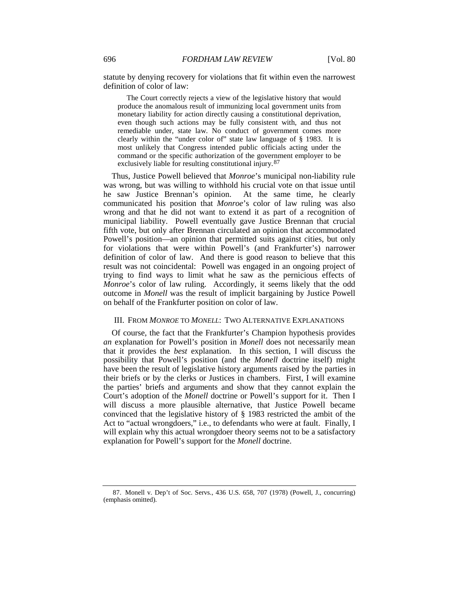statute by denying recovery for violations that fit within even the narrowest definition of color of law:

The Court correctly rejects a view of the legislative history that would produce the anomalous result of immunizing local government units from monetary liability for action directly causing a constitutional deprivation, even though such actions may be fully consistent with, and thus not remediable under, state law. No conduct of government comes more clearly within the "under color of" state law language of § 1983. It is most unlikely that Congress intended public officials acting under the command or the specific authorization of the government employer to be exclusively liable for resulting constitutional injury.<sup>[87](#page-16-0)</sup>

Thus, Justice Powell believed that *Monroe*'s municipal non-liability rule was wrong, but was willing to withhold his crucial vote on that issue until he saw Justice Brennan's opinion. At the same time, he clearly communicated his position that *Monroe*'s color of law ruling was also wrong and that he did not want to extend it as part of a recognition of municipal liability. Powell eventually gave Justice Brennan that crucial fifth vote, but only after Brennan circulated an opinion that accommodated Powell's position—an opinion that permitted suits against cities, but only for violations that were within Powell's (and Frankfurter's) narrower definition of color of law. And there is good reason to believe that this result was not coincidental: Powell was engaged in an ongoing project of trying to find ways to limit what he saw as the pernicious effects of *Monroe*'s color of law ruling. Accordingly, it seems likely that the odd outcome in *Monell* was the result of implicit bargaining by Justice Powell on behalf of the Frankfurter position on color of law.

#### III. FROM *MONROE* TO *MONELL*: TWO ALTERNATIVE EXPLANATIONS

Of course, the fact that the Frankfurter's Champion hypothesis provides *an* explanation for Powell's position in *Monell* does not necessarily mean that it provides the *best* explanation. In this section, I will discuss the possibility that Powell's position (and the *Monell* doctrine itself) might have been the result of legislative history arguments raised by the parties in their briefs or by the clerks or Justices in chambers. First, I will examine the parties' briefs and arguments and show that they cannot explain the Court's adoption of the *Monell* doctrine or Powell's support for it. Then I will discuss a more plausible alternative, that Justice Powell became convinced that the legislative history of § 1983 restricted the ambit of the Act to "actual wrongdoers," i.e., to defendants who were at fault. Finally, I will explain why this actual wrongdoer theory seems not to be a satisfactory explanation for Powell's support for the *Monell* doctrine.

<span id="page-16-0"></span><sup>87.</sup> Monell v. Dep't of Soc. Servs., 436 U.S. 658, 707 (1978) (Powell, J., concurring) (emphasis omitted).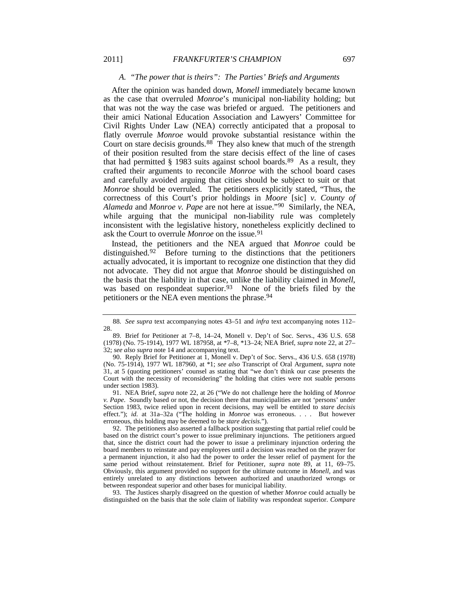#### <span id="page-17-0"></span>*A. "The power that is theirs": The Parties' Briefs and Arguments*

After the opinion was handed down, *Monell* immediately became known as the case that overruled *Monroe*'s municipal non-liability holding; but that was not the way the case was briefed or argued. The petitioners and their amici National Education Association and Lawyers' Committee for Civil Rights Under Law (NEA) correctly anticipated that a proposal to flatly overrule *Monroe* would provoke substantial resistance within the Court on stare decisis grounds.<sup>88</sup> They also knew that much of the strength of their position resulted from the stare decisis effect of the line of cases that had permitted  $\S$  1983 suits against school boards.<sup>89</sup> As a result, they crafted their arguments to reconcile *Monroe* with the school board cases and carefully avoided arguing that cities should be subject to suit or that *Monroe* should be overruled. The petitioners explicitly stated, "Thus, the correctness of this Court's prior holdings in *Moore* [sic] *v. County of Alameda* and *Monroe v. Pape* are not here at issue."[90](#page-17-3) Similarly, the NEA, while arguing that the municipal non-liability rule was completely inconsistent with the legislative history, nonetheless explicitly declined to ask the Court to overrule *Monroe* on the issue.<sup>[91](#page-17-4)</sup>

Instead, the petitioners and the NEA argued that *Monroe* could be distinguished.<sup>[92](#page-17-5)</sup> Before turning to the distinctions that the petitioners actually advocated, it is important to recognize one distinction that they did not advocate. They did not argue that *Monroe* should be distinguished on the basis that the liability in that case, unlike the liability claimed in *Monell*, was based on respondeat superior.<sup>[93](#page-17-6)</sup> None of the briefs filed by the petitioners or the NEA even mentions the phrase.<sup>94</sup>

<span id="page-17-6"></span>93. The Justices sharply disagreed on the question of whether *Monroe* could actually be distinguished on the basis that the sole claim of liability was respondeat superior. *Compare*

<span id="page-17-8"></span><span id="page-17-7"></span><span id="page-17-1"></span><sup>88</sup>*. See supra* text accompanying notes [43](#page-10-0)[–51](#page-11-0) and *infra* text accompanying notes [112–](#page-21-0) 28.

<span id="page-17-2"></span><sup>89.</sup> Brief for Petitioner at 7–8, 14–24, Monell v. Dep't of Soc. Servs., 436 U.S. 658 (1978) (No. 75-1914), 1977 WL 187958, at \*7–8, \*13–24; NEA Brief, *supra* note [22,](#page-5-5) at 27– 32; *see also supra* not[e 14](#page-4-9) and accompanying text.

<span id="page-17-3"></span><sup>90.</sup> Reply Brief for Petitioner at 1, Monell v. Dep't of Soc. Servs., 436 U.S. 658 (1978) (No. 75-1914), 1977 WL 187960, at \*1; *see also* Transcript of Oral Argument, *supra* note [31,](#page-7-4) at 5 (quoting petitioners' counsel as stating that "we don't think our case presents the Court with the necessity of reconsidering" the holding that cities were not suable persons under section 1983).

<span id="page-17-4"></span><sup>91.</sup> NEA Brief, *supra* note [22,](#page-5-5) at 26 ("We do not challenge here the holding of *Monroe v. Pape*. Soundly based or not, the decision there that municipalities are not 'persons' under Section 1983, twice relied upon in recent decisions, may well be entitled to *stare decisis* effect."); *id.* at 31a–32a ("The holding in *Monroe* was erroneous. . . . But however erroneous, this holding may be deemed to be *stare decisis*.").

<span id="page-17-5"></span><sup>92.</sup> The petitioners also asserted a fallback position suggesting that partial relief could be based on the district court's power to issue preliminary injunctions. The petitioners argued that, since the district court had the power to issue a preliminary injunction ordering the board members to reinstate and pay employees until a decision was reached on the prayer for a permanent injunction, it also had the power to order the lesser relief of payment for the same period without reinstatement. Brief for Petitioner, *supra* note [89,](#page-17-0) at 11, 69–75. Obviously, this argument provided no support for the ultimate outcome in *Monell*, and was entirely unrelated to any distinctions between authorized and unauthorized wrongs or between respondeat superior and other bases for municipal liability.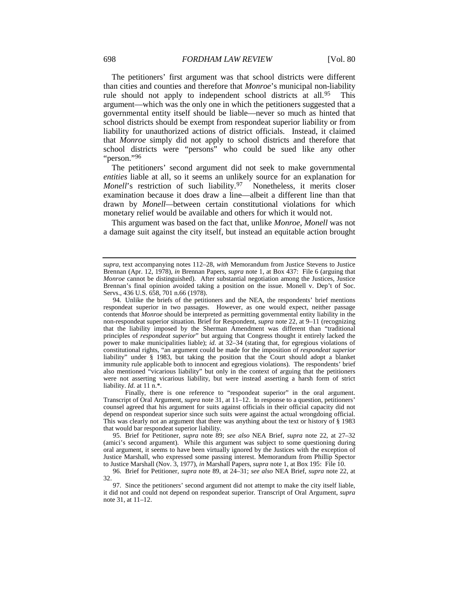The petitioners' first argument was that school districts were different than cities and counties and therefore that *Monroe*'s municipal non-liability rule should not apply to independent school districts at all.<sup>[95](#page-18-1)</sup> This argument—which was the only one in which the petitioners suggested that a governmental entity itself should be liable—never so much as hinted that school districts should be exempt from respondeat superior liability or from liability for unauthorized actions of district officials. Instead, it claimed that *Monroe* simply did not apply to school districts and therefore that school districts were "persons" who could be sued like any other "person."[96](#page-18-2)

<span id="page-18-0"></span>The petitioners' second argument did not seek to make governmental *entities* liable at all, so it seems an unlikely source for an explanation for Monell's restriction of such liability.<sup>[97](#page-18-3)</sup> Nonetheless, it merits closer examination because it does draw a line—albeit a different line than that drawn by *Monell—*between certain constitutional violations for which monetary relief would be available and others for which it would not.

This argument was based on the fact that, unlike *Monroe*, *Monell* was not a damage suit against the city itself, but instead an equitable action brought

*supra,* text accompanying notes [112–](#page-21-0)28, *with* Memorandum from Justice Stevens to Justice Brennan (Apr. 12, 1978), *in* Brennan Papers, *supra* note [1,](#page-1-2) at Box 437: File 6 (arguing that *Monroe* cannot be distinguished). After substantial negotiation among the Justices, Justice Brennan's final opinion avoided taking a position on the issue. Monell v. Dep't of Soc. Servs., 436 U.S. 658, 701 n.66 (1978).

<sup>94.</sup> Unlike the briefs of the petitioners and the NEA, the respondents' brief mentions respondeat superior in two passages. However, as one would expect, neither passage contends that *Monroe* should be interpreted as permitting governmental entity liability in the non-respondeat superior situation. Brief for Respondent, *supra* not[e 22,](#page-5-5) at 9–11 (recognizing that the liability imposed by the Sherman Amendment was different than "traditional principles of *respondeat superior*" but arguing that Congress thought it entirely lacked the power to make municipalities liable); *id.* at 32–34 (stating that, for egregious violations of constitutional rights, "an argument could be made for the imposition of *respondeat superior* liability" under § 1983, but taking the position that the Court should adopt a blanket immunity rule applicable both to innocent and egregious violations). The respondents' brief also mentioned "vicarious liability" but only in the context of arguing that the petitioners were not asserting vicarious liability, but were instead asserting a harsh form of strict liability. *Id.* at 11 n.\*.

Finally, there is one reference to "respondeat superior" in the oral argument. Transcript of Oral Argument, *supra* note [31,](#page-7-4) at 11–12. In response to a question, petitioners' counsel agreed that his argument for suits against officials in their official capacity did not depend on respondeat superior since such suits were against the actual wrongdoing official. This was clearly not an argument that there was anything about the text or history of § 1983 that would bar respondeat superior liability.

<span id="page-18-1"></span><sup>95.</sup> Brief for Petitioner, *supra* note [89;](#page-17-0) *see also* NEA Brief, *supra* note [22,](#page-5-5) at 27–32 (amici's second argument). While this argument was subject to some questioning during oral argument, it seems to have been virtually ignored by the Justices with the exception of Justice Marshall, who expressed some passing interest. Memorandum from Phillip Spector to Justice Marshall (Nov. 3, 1977), *in* Marshall Papers, *supra* not[e 1,](#page-1-2) at Box 195: File 10.

<span id="page-18-2"></span><sup>96.</sup> Brief for Petitioner, *supra* note [89,](#page-17-0) at 24–31; *see also* NEA Brief, *supra* note [22,](#page-5-5) at 32.

<span id="page-18-3"></span><sup>97.</sup> Since the petitioners' second argument did not attempt to make the city itself liable, it did not and could not depend on respondeat superior. Transcript of Oral Argument, *supra* not[e 31,](#page-7-4) at 11–12.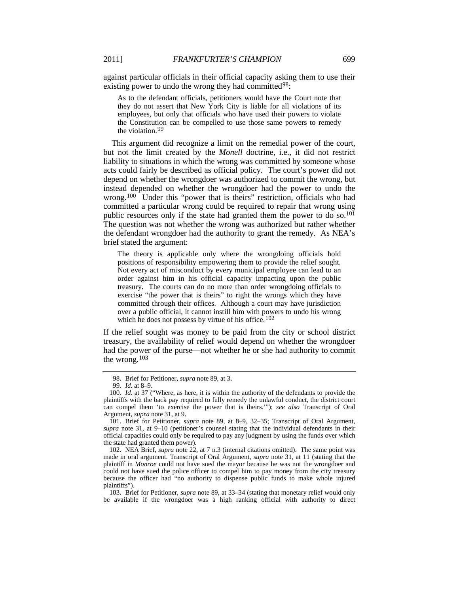against particular officials in their official capacity asking them to use their existing power to undo the wrong they had committed<sup>[98](#page-19-1)</sup>:

As to the defendant officials, petitioners would have the Court note that they do not assert that New York City is liable for all violations of its employees, but only that officials who have used their powers to violate the Constitution can be compelled to use those same powers to remedy the violation. [99](#page-19-2)

This argument did recognize a limit on the remedial power of the court, but not the limit created by the *Monell* doctrine, i.e., it did not restrict liability to situations in which the wrong was committed by someone whose acts could fairly be described as official policy. The court's power did not depend on whether the wrongdoer was authorized to commit the wrong, but instead depended on whether the wrongdoer had the power to undo the wrong.<sup>100</sup> Under this "power that is theirs" restriction, officials who had committed a particular wrong could be required to repair that wrong using public resources only if the state had granted them the power to do so.<sup>[101](#page-19-4)</sup> The question was not whether the wrong was authorized but rather whether the defendant wrongdoer had the authority to grant the remedy. As NEA's brief stated the argument:

The theory is applicable only where the wrongdoing officials hold positions of responsibility empowering them to provide the relief sought*.*  Not every act of misconduct by every municipal employee can lead to an order against him in his official capacity impacting upon the public treasury. The courts can do no more than order wrongdoing officials to exercise "the power that is theirs" to right the wrongs which they have committed through their offices. Although a court may have jurisdiction over a public official, it cannot instill him with powers to undo his wrong which he does not possess by virtue of his office.<sup>[102](#page-19-5)</sup>

If the relief sought was money to be paid from the city or school district treasury, the availability of relief would depend on whether the wrongdoer had the power of the purse—not whether he or she had authority to commit the wrong.[103](#page-19-6)

<span id="page-19-0"></span><sup>98.</sup> Brief for Petitioner, *supra* not[e 89,](#page-17-0) at 3.

<sup>99</sup>*. Id.* at 8–9.

<span id="page-19-3"></span><span id="page-19-2"></span><span id="page-19-1"></span><sup>100</sup>*. Id.* at 37 ("Where, as here, it is within the authority of the defendants to provide the plaintiffs with the back pay required to fully remedy the unlawful conduct, the district court can compel them 'to exercise the power that is theirs.'"); *see also* Transcript of Oral Argument, *supra* not[e 31,](#page-7-4) at 9.

<span id="page-19-4"></span><sup>101.</sup> Brief for Petitioner, *supra* note [89,](#page-17-0) at 8–9, 32–35; Transcript of Oral Argument, *supra* note [31,](#page-7-4) at 9–10 (petitioner's counsel stating that the individual defendants in their official capacities could only be required to pay any judgment by using the funds over which the state had granted them power).

<span id="page-19-5"></span><sup>102.</sup> NEA Brief, *supra* note [22,](#page-5-5) at 7 n.3 (internal citations omitted). The same point was made in oral argument. Transcript of Oral Argument, *supra* note [31,](#page-7-4) at 11 (stating that the plaintiff in *Monroe* could not have sued the mayor because he was not the wrongdoer and could not have sued the police officer to compel him to pay money from the city treasury because the officer had "no authority to dispense public funds to make whole injured plaintiffs").

<span id="page-19-6"></span><sup>103.</sup> Brief for Petitioner, *supra* note [89,](#page-17-0) at 33–34 (stating that monetary relief would only be available if the wrongdoer was a high ranking official with authority to direct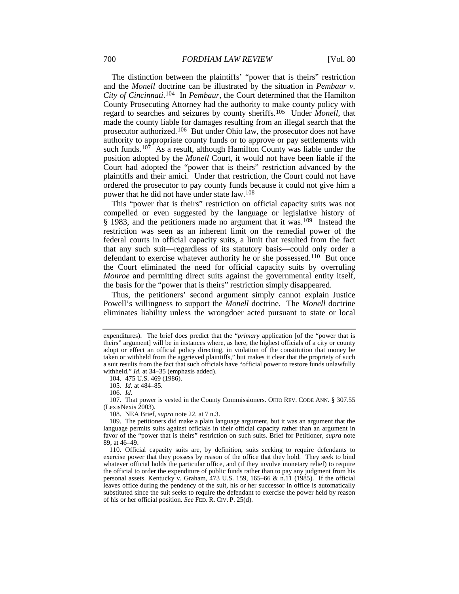The distinction between the plaintiffs' "power that is theirs" restriction and the *Monell* doctrine can be illustrated by the situation in *Pembaur v. City of Cincinnati*.[104](#page-20-0) In *Pembaur*, the Court determined that the Hamilton County Prosecuting Attorney had the authority to make county policy with regard to searches and seizures by county sheriffs.[105](#page-20-1) Under *Monell*, that made the county liable for damages resulting from an illegal search that the prosecutor authorized.[106](#page-20-2) But under Ohio law, the prosecutor does not have authority to appropriate county funds or to approve or pay settlements with such funds.<sup>[107](#page-20-3)</sup> As a result, although Hamilton County was liable under the position adopted by the *Monell* Court, it would not have been liable if the Court had adopted the "power that is theirs" restriction advanced by the plaintiffs and their amici. Under that restriction, the Court could not have ordered the prosecutor to pay county funds because it could not give him a power that he did not have under state law.[108](#page-20-4)

This "power that is theirs" restriction on official capacity suits was not compelled or even suggested by the language or legislative history of § 1983, and the petitioners made no argument that it was.<sup>109</sup> Instead the restriction was seen as an inherent limit on the remedial power of the federal courts in official capacity suits, a limit that resulted from the fact that any such suit—regardless of its statutory basis—could only order a defendant to exercise whatever authority he or she possessed.<sup>[110](#page-20-6)</sup> But once the Court eliminated the need for official capacity suits by overruling *Monroe* and permitting direct suits against the governmental entity itself, the basis for the "power that is theirs" restriction simply disappeared.

Thus, the petitioners' second argument simply cannot explain Justice Powell's willingness to support the *Monell* doctrine. The *Monell* doctrine eliminates liability unless the wrongdoer acted pursuant to state or local

104. 475 U.S. 469 (1986).

106*. Id.*

108. NEA Brief, *supra* not[e 22,](#page-5-5) at 7 n.3.

expenditures). The brief does predict that the "*primary* application [of the "power that is theirs" argument] will be in instances where, as here, the highest officials of a city or county adopt or effect an official policy directing, in violation of the constitution that money be taken or withheld from the aggrieved plaintiffs," but makes it clear that the propriety of such a suit results from the fact that such officials have "official power to restore funds unlawfully withheld." *Id.* at 34–35 (emphasis added).

<sup>105</sup>*. Id.* at 484–85.

<span id="page-20-3"></span><span id="page-20-2"></span><span id="page-20-1"></span><span id="page-20-0"></span><sup>107.</sup> That power is vested in the County Commissioners. OHIO REV. CODE ANN. § 307.55 (LexisNexis 2003).

<span id="page-20-5"></span><span id="page-20-4"></span><sup>109.</sup> The petitioners did make a plain language argument, but it was an argument that the language permits suits against officials in their official capacity rather than an argument in favor of the "power that is theirs" restriction on such suits. Brief for Petitioner, *supra* note [89,](#page-17-0) at 46–49.

<span id="page-20-6"></span><sup>110.</sup> Official capacity suits are, by definition, suits seeking to require defendants to exercise power that they possess by reason of the office that they hold. They seek to bind whatever official holds the particular office, and (if they involve monetary relief) to require the official to order the expenditure of public funds rather than to pay any judgment from his personal assets. Kentucky v. Graham, 473 U.S. 159, 165–66 & n.11 (1985). If the official leaves office during the pendency of the suit, his or her successor in office is automatically substituted since the suit seeks to require the defendant to exercise the power held by reason of his or her official position. *See* FED. R. CIV. P. 25(d).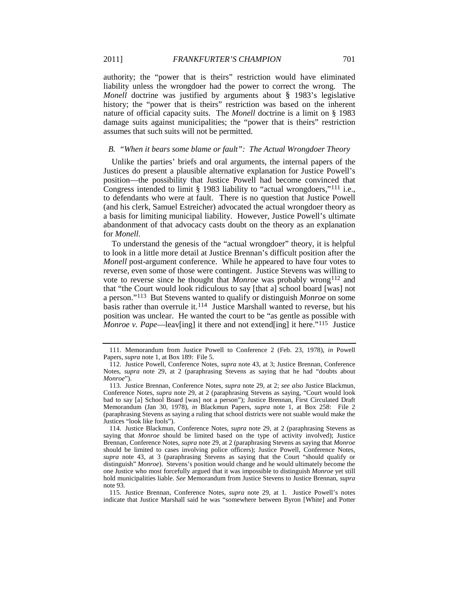authority; the "power that is theirs" restriction would have eliminated liability unless the wrongdoer had the power to correct the wrong. The *Monell* doctrine was justified by arguments about § 1983's legislative history; the "power that is theirs" restriction was based on the inherent nature of official capacity suits. The *Monell* doctrine is a limit on § 1983 damage suits against municipalities; the "power that is theirs" restriction assumes that such suits will not be permitted.

#### <span id="page-21-7"></span>*B. "When it bears some blame or fault": The Actual Wrongdoer Theory*

Unlike the parties' briefs and oral arguments, the internal papers of the Justices do present a plausible alternative explanation for Justice Powell's position—the possibility that Justice Powell had become convinced that Congress intended to limit § 1983 liability to "actual wrongdoers,"<sup>[111](#page-21-1)</sup> i.e., to defendants who were at fault. There is no question that Justice Powell (and his clerk, Samuel Estreicher) advocated the actual wrongdoer theory as a basis for limiting municipal liability. However, Justice Powell's ultimate abandonment of that advocacy casts doubt on the theory as an explanation for *Monell*.

<span id="page-21-6"></span><span id="page-21-0"></span>To understand the genesis of the "actual wrongdoer" theory, it is helpful to look in a little more detail at Justice Brennan's difficult position after the *Monell* post-argument conference. While he appeared to have four votes to reverse, even some of those were contingent. Justice Stevens was willing to vote to reverse since he thought that *Monroe* was probably wrong [112](#page-21-2) and that "the Court would look ridiculous to say [that a] school board [was] not a person."[113](#page-21-3) But Stevens wanted to qualify or distinguish *Monroe* on some basis rather than overrule it.[114](#page-21-4) Justice Marshall wanted to reverse, but his position was unclear. He wanted the court to be "as gentle as possible with Monroe v. Pape—leav[ing] it there and not extend[ing] it here."<sup>115</sup> Justice

<span id="page-21-1"></span><sup>111.</sup> Memorandum from Justice Powell to Conference 2 (Feb. 23, 1978), *in* Powell Papers, *supra* note 1, at Box 189: File 5.

<span id="page-21-2"></span><sup>112.</sup> Justice Powell, Conference Notes, *supra* note [43,](#page-10-0) at 3; Justice Brennan, Conference Notes, *supra* note [29,](#page-6-0) at 2 (paraphrasing Stevens as saying that he had "doubts about *Monroe*").

<span id="page-21-3"></span><sup>113.</sup> Justice Brennan, Conference Notes, *supra* note [29,](#page-6-0) at 2; *see also* Justice Blackmun, Conference Notes, *supra* note [29,](#page-6-0) at 2 (paraphrasing Stevens as saying, "Court would look bad to say [a] School Board [was] not a person"); Justice Brennan, First Circulated Draft Memorandum (Jan 30, 1978), *in* Blackmun Papers, *supra* note [1,](#page-1-2) at Box 258: File 2 (paraphrasing Stevens as saying a ruling that school districts were not suable would make the Justices "look like fools").

<span id="page-21-4"></span><sup>114.</sup> Justice Blackmun, Conference Notes, *supra* note [29,](#page-6-0) at 2 (paraphrasing Stevens as saying that *Monroe* should be limited based on the type of activity involved); Justice Brennan, Conference Notes, *supra* note [29,](#page-6-0) at 2 (paraphrasing Stevens as saying that *Monroe* should be limited to cases involving police officers); Justice Powell, Conference Notes, *supra* note [43,](#page-10-0) at 3 (paraphrasing Stevens as saying that the Court "should qualify or distinguish" *Monroe*). Stevens's position would change and he would ultimately become the one Justice who most forcefully argued that it was impossible to distinguish *Monroe* yet still hold municipalities liable. *See* Memorandum from Justice Stevens to Justice Brennan, *supra* not[e 93.](#page-17-8)

<span id="page-21-5"></span><sup>115.</sup> Justice Brennan, Conference Notes, *supra* note [29,](#page-6-0) at 1. Justice Powell's notes indicate that Justice Marshall said he was "somewhere between Byron [White] and Potter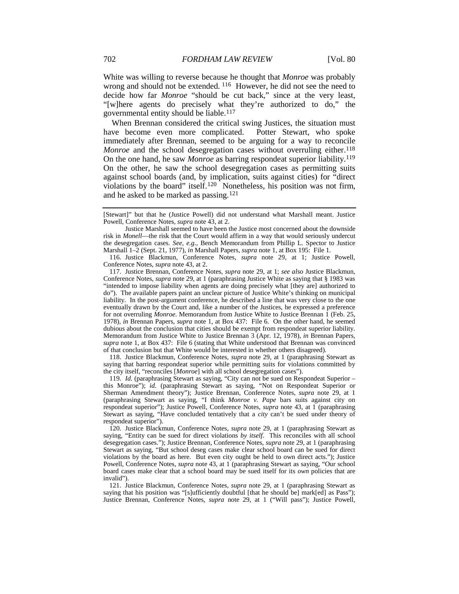White was willing to reverse because he thought that *Monroe* was probably wrong and should not be extended. [116](#page-22-0) However, he did not see the need to decide how far *Monroe* "should be cut back," since at the very least, "[w]here agents do precisely what they're authorized to do," the governmental entity should be liable.[117](#page-22-1)

When Brennan considered the critical swing Justices, the situation must have become even more complicated. Potter Stewart, who spoke immediately after Brennan, seemed to be arguing for a way to reconcile *Monroe* and the school desegregation cases without overruling either.<sup>[118](#page-22-2)</sup> On the one hand, he saw *Monroe* as barring respondeat superior liability.[119](#page-22-3) On the other, he saw the school desegregation cases as permitting suits against school boards (and, by implication, suits against cities) for "direct violations by the board" itself.<sup>[120](#page-22-4)</sup> Nonetheless, his position was not firm, and he asked to be marked as passing.[121](#page-22-5)

<span id="page-22-1"></span>117. Justice Brennan, Conference Notes, *supra* note [29,](#page-6-0) at 1; *see also* Justice Blackmun, Conference Notes, *supra* not[e 29,](#page-6-0) at 1 (paraphrasing Justice White as saying that § 1983 was "intended to impose liability when agents are doing precisely what [they are] authorized to do"). The available papers paint an unclear picture of Justice White's thinking on municipal liability. In the post-argument conference, he described a line that was very close to the one eventually drawn by the Court and, like a number of the Justices, he expressed a preference for not overruling *Monroe*. Memorandum from Justice White to Justice Brennan 1 (Feb. 25, 1978), *in* Brennan Papers, *supra* note [1,](#page-1-2) at Box 437: File 6. On the other hand, he seemed dubious about the conclusion that cities should be exempt from respondeat superior liability. Memorandum from Justice White to Justice Brennan 3 (Apr. 12, 1978), *in* Brennan Papers, *supra* note [1,](#page-1-2) at Box 437: File 6 (stating that White understood that Brennan was convinced of that conclusion but that White would be interested in whether others disagreed).

<span id="page-22-2"></span>118. Justice Blackmun, Conference Notes, *supra* note [29,](#page-6-0) at 1 (paraphrasing Stewart as saying that barring respondeat superior while permitting suits for violations committed by the city itself, "reconciles [*Monroe*] with all school desegregation cases").

<span id="page-22-3"></span>119. *Id.* (paraphrasing Stewart as saying, "City can not be sued on Respondeat Superior – this Monroe"); *id.* (paraphrasing Stewart as saying, "Not on Respondeat Superior or Sherman Amendment theory"); Justice Brennan, Conference Notes, *supra* note [29,](#page-6-0) at 1 (paraphrasing Stewart as saying, "I think *Monroe v. Pape* bars suits against city on respondeat superior"); Justice Powell, Conference Notes, *supra* note [43,](#page-10-0) at 1 (paraphrasing Stewart as saying, "Have concluded tentatively that a *city* can't be sued under theory of respondeat superior").

<span id="page-22-4"></span>120. Justice Blackmun, Conference Notes, *supra* note [29,](#page-6-0) at 1 (paraphrasing Stewart as saying, "Entity can be sued for direct violations *by itself*. This reconciles with all school desegregation cases."); Justice Brennan, Conference Notes, *supra* note [29,](#page-6-0) at 1 (paraphrasing Stewart as saying, "But school deseg cases make clear school board can be sued for direct violations by the board as here. But even city ought be held to own direct acts."); Justice Powell, Conference Notes, *supra* note [43,](#page-10-0) at 1 (paraphrasing Stewart as saying, "Our school board cases make clear that a school board may be sued itself for its *own* policies that are invalid").

<span id="page-22-5"></span>121. Justice Blackmun, Conference Notes, *supra* note [29,](#page-6-0) at 1 (paraphrasing Stewart as saying that his position was "[s]ufficiently doubtful [that he should be] mark[ed] as Pass"); Justice Brennan, Conference Notes, *supra* note [29,](#page-6-0) at 1 ("Will pass"); Justice Powell,

<sup>[</sup>Stewart]" but that he (Justice Powell) did not understand what Marshall meant. Justice Powell, Conference Notes, *supra* not[e 43,](#page-10-0) at 2.

Justice Marshall seemed to have been the Justice most concerned about the downside risk in *Monell*—the risk that the Court would affirm in a way that would seriously undercut the desegregation cases. *See, e.g.*, Bench Memorandum from Phillip L. Spector to Justice Marshall 1–2 (Sept. 21, 1977), *in* Marshall Papers, *supra* note [1,](#page-1-2) at Box 195: File 1.

<span id="page-22-0"></span><sup>116.</sup> Justice Blackmun, Conference Notes, *supra* note [29,](#page-6-0) at 1; Justice Powell, Conference Notes, *supra* not[e 43,](#page-10-0) at 2.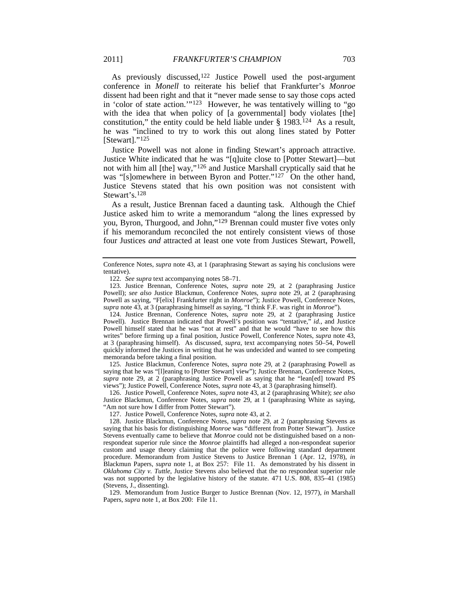As previously discussed,<sup>[122](#page-23-0)</sup> Justice Powell used the post-argument conference in *Monell* to reiterate his belief that Frankfurter's *Monroe* dissent had been right and that it "never made sense to say those cops acted in 'color of state action.'"[123](#page-23-1) However, he was tentatively willing to "go with the idea that when policy of [a governmental] body violates [the] constitution," the entity could be held liable under  $\S$  1983.<sup>124</sup> As a result, he was "inclined to try to work this out along lines stated by Potter [Stewart]."<sup>[125](#page-23-3)</sup>

Justice Powell was not alone in finding Stewart's approach attractive. Justice White indicated that he was "[q]uite close to [Potter Stewart]—but not with him all [the] way,"[126](#page-23-4) and Justice Marshall cryptically said that he was "[s]omewhere in between Byron and Potter."<sup>127</sup> On the other hand, Justice Stevens stated that his own position was not consistent with Stewart's.[128](#page-23-6)

As a result, Justice Brennan faced a daunting task. Although the Chief Justice asked him to write a memorandum "along the lines expressed by you, Byron, Thurgood, and John,"<sup>[129](#page-23-7)</sup> Brennan could muster five votes only if his memorandum reconciled the not entirely consistent views of those four Justices *and* attracted at least one vote from Justices Stewart, Powell,

<span id="page-23-2"></span>124. Justice Brennan, Conference Notes, *supra* note [29,](#page-6-0) at 2 (paraphrasing Justice Powell). Justice Brennan indicated that Powell's position was "tentative," *id.*, and Justice Powell himself stated that he was "not at rest" and that he would "have to see how this writes" before firming up a final position, Justice Powell, Conference Notes, *supra* not[e 43,](#page-10-0)  at 3 (paraphrasing himself). As discussed, *supra*, text accompanying notes [50](#page-11-8)[–54,](#page-11-9) Powell quickly informed the Justices in writing that he was undecided and wanted to see competing memoranda before taking a final position.

<span id="page-23-3"></span>125. Justice Blackmun, Conference Notes, *supra* note [29,](#page-6-0) at 2 (paraphrasing Powell as saying that he was "[l]eaning to [Potter Stewart] view"); Justice Brennan, Conference Notes, *supra* note [29,](#page-6-0) at 2 (paraphrasing Justice Powell as saying that he "lean[ed] toward PS views"); Justice Powell, Conference Notes, *supra* not[e 43,](#page-10-0) at 3 (paraphrasing himself).

<span id="page-23-4"></span>126. Justice Powell, Conference Notes, *supra* note [43,](#page-10-0) at 2 (paraphrasing White); *see also* Justice Blackmun, Conference Notes, *supra* note [29,](#page-6-0) at 1 (paraphrasing White as saying, "Am not sure how I differ from Potter Stewart").

127. Justice Powell, Conference Notes, *supra* note [43,](#page-10-0) at 2.

<span id="page-23-6"></span><span id="page-23-5"></span>128. Justice Blackmun, Conference Notes, *supra* note [29,](#page-6-0) at 2 (paraphrasing Stevens as saying that his basis for distinguishing *Monroe* was "different from Potter Stewart"). Justice Stevens eventually came to believe that *Monroe* could not be distinguished based on a nonrespondeat superior rule since the *Monroe* plaintiffs had alleged a non-respondeat superior custom and usage theory claiming that the police were following standard department procedure. Memorandum from Justice Stevens to Justice Brennan 1 (Apr. 12, 1978), *in* Blackmun Papers, *supra* note [1,](#page-1-2) at Box 257: File 11. As demonstrated by his dissent in *Oklahoma City v. Tuttle*, Justice Stevens also believed that the no respondeat superior rule was not supported by the legislative history of the statute. 471 U.S. 808, 835–41 (1985) (Stevens, J., dissenting).

<span id="page-23-7"></span>129. Memorandum from Justice Burger to Justice Brennan (Nov. 12, 1977), *in* Marshall Papers, *supra* note [1,](#page-1-2) at Box 200: File 11.

Conference Notes, *supra* note [43,](#page-10-0) at 1 (paraphrasing Stewart as saying his conclusions were tentative).

<sup>122</sup>*. See supra* text accompanying note[s 58](#page-12-10)[–71.](#page-13-9)

<span id="page-23-1"></span><span id="page-23-0"></span><sup>123.</sup> Justice Brennan, Conference Notes, *supra* note [29,](#page-6-0) at 2 (paraphrasing Justice Powell); *see also* Justice Blackmun, Conference Notes, *supra* note [29,](#page-6-0) at 2 (paraphrasing Powell as saying, "F[elix] Frankfurter right in *Monroe*"); Justice Powell, Conference Notes, *supra* not[e 43,](#page-10-0) at 3 (paraphrasing himself as saying, "I think F.F. was right in *Monroe*").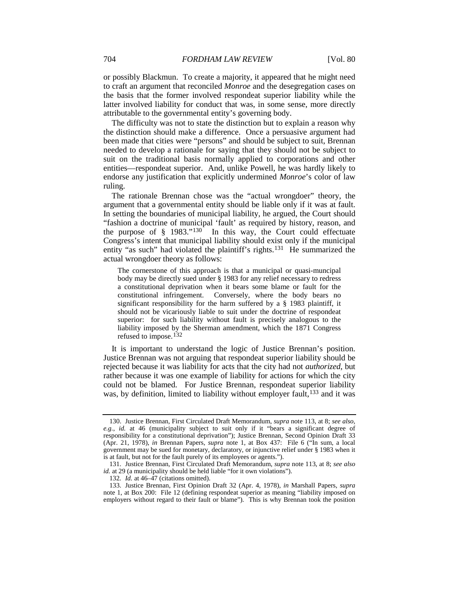or possibly Blackmun. To create a majority, it appeared that he might need to craft an argument that reconciled *Monroe* and the desegregation cases on the basis that the former involved respondeat superior liability while the latter involved liability for conduct that was, in some sense, more directly attributable to the governmental entity's governing body.

The difficulty was not to state the distinction but to explain a reason why the distinction should make a difference. Once a persuasive argument had been made that cities were "persons" and should be subject to suit, Brennan needed to develop a rationale for saying that they should not be subject to suit on the traditional basis normally applied to corporations and other entities—respondeat superior. And, unlike Powell, he was hardly likely to endorse any justification that explicitly undermined *Monroe*'s color of law ruling.

The rationale Brennan chose was the "actual wrongdoer" theory, the argument that a governmental entity should be liable only if it was at fault. In setting the boundaries of municipal liability, he argued, the Court should "fashion a doctrine of municipal 'fault' as required by history, reason, and the purpose of  $\S$  1983."<sup>130</sup> In this way, the Court could effectuate Congress's intent that municipal liability should exist only if the municipal entity "as such" had violated the plaintiff's rights.<sup>[131](#page-24-2)</sup> He summarized the actual wrongdoer theory as follows:

<span id="page-24-0"></span>The cornerstone of this approach is that a municipal or quasi-muncipal body may be directly sued under § 1983 for any relief necessary to redress a constitutional deprivation when it bears some blame or fault for the constitutional infringement. Conversely, where the body bears no significant responsibility for the harm suffered by a § 1983 plaintiff, it should not be vicariously liable to suit under the doctrine of respondeat superior: for such liability without fault is precisely analogous to the liability imposed by the Sherman amendment, which the 1871 Congress refused to impose.<sup>[132](#page-24-3)</sup>

It is important to understand the logic of Justice Brennan's position. Justice Brennan was not arguing that respondeat superior liability should be rejected because it was liability for acts that the city had not *authorized*, but rather because it was one example of liability for actions for which the city could not be blamed. For Justice Brennan, respondeat superior liability was, by definition, limited to liability without employer fault, <sup>[133](#page-24-4)</sup> and it was

<span id="page-24-5"></span><span id="page-24-1"></span><sup>130.</sup> Justice Brennan, First Circulated Draft Memorandum, *supra* note [113,](#page-21-6) at 8; *see also, e.g.*, *id.* at 46 (municipality subject to suit only if it "bears a significant degree of responsibility for a constitutional deprivation"); Justice Brennan, Second Opinion Draft 33 (Apr. 21, 1978), *in* Brennan Papers, *supra* note [1,](#page-1-2) at Box 437: File 6 ("In sum, a local government may be sued for monetary, declaratory, or injunctive relief under § 1983 when it is at fault, but not for the fault purely of its employees or agents.").

<span id="page-24-2"></span><sup>131.</sup> Justice Brennan, First Circulated Draft Memorandum, *supra* not[e 113,](#page-21-6) at 8; *see also id.* at 29 (a municipality should be held liable "for it own violations").

<sup>132</sup>*. Id.* at 46–47 (citations omitted).

<span id="page-24-4"></span><span id="page-24-3"></span><sup>133.</sup> Justice Brennan, First Opinion Draft 32 (Apr. 4, 1978), *in* Marshall Papers, *supra* note [1,](#page-1-2) at Box 200: File 12 (defining respondeat superior as meaning "liability imposed on employers without regard to their fault or blame"). This is why Brennan took the position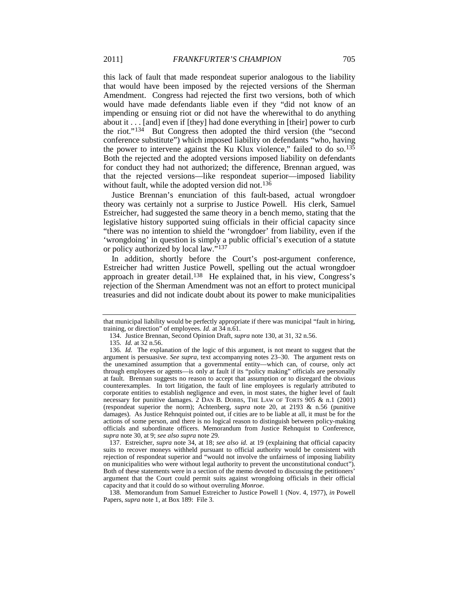this lack of fault that made respondeat superior analogous to the liability that would have been imposed by the rejected versions of the Sherman Amendment. Congress had rejected the first two versions, both of which would have made defendants liable even if they "did not know of an impending or ensuing riot or did not have the wherewithal to do anything about it . . . [and] even if [they] had done everything in [their] power to curb the riot."[134](#page-25-0) But Congress then adopted the third version (the "second conference substitute") which imposed liability on defendants "who, having the power to intervene against the Ku Klux violence," failed to do so.<sup>[135](#page-25-1)</sup> Both the rejected and the adopted versions imposed liability on defendants for conduct they had not authorized; the difference, Brennan argued, was that the rejected versions—like respondeat superior—imposed liability without fault, while the adopted version did not.<sup>[136](#page-25-2)</sup>

Justice Brennan's enunciation of this fault-based, actual wrongdoer theory was certainly not a surprise to Justice Powell. His clerk, Samuel Estreicher, had suggested the same theory in a bench memo, stating that the legislative history supported suing officials in their official capacity since "there was no intention to shield the 'wrongdoer' from liability, even if the 'wrongdoing' in question is simply a public official's execution of a statute or policy authorized by local law."[137](#page-25-3)

<span id="page-25-5"></span>In addition, shortly before the Court's post-argument conference, Estreicher had written Justice Powell, spelling out the actual wrongdoer approach in greater detail.<sup>[138](#page-25-4)</sup> He explained that, in his view, Congress's rejection of the Sherman Amendment was not an effort to protect municipal treasuries and did not indicate doubt about its power to make municipalities

<span id="page-25-3"></span>137. Estreicher, *supra* note [34,](#page-8-3) at 18; *see also id.* at 19 (explaining that official capacity suits to recover moneys withheld pursuant to official authority would be consistent with rejection of respondeat superior and "would not involve the unfairness of imposing liability on municipalities who were without legal authority to prevent the unconstitutional conduct"). Both of these statements were in a section of the memo devoted to discussing the petitioners' argument that the Court could permit suits against wrongdoing officials in their official capacity and that it could do so without overruling *Monroe*.

<span id="page-25-4"></span>138. Memorandum from Samuel Estreicher to Justice Powell 1 (Nov. 4, 1977), *in* Powell Papers, *supra* note [1,](#page-1-2) at Box 189: File 3.

that municipal liability would be perfectly appropriate if there was municipal "fault in hiring, training, or direction" of employees. *Id.* at 34 n.61.

<sup>134.</sup> Justice Brennan, Second Opinion Draft, *supra* not[e 130,](#page-24-0) at 31, 32 n.56.

<sup>135</sup>*. Id.* at 32 n.56.

<span id="page-25-2"></span><span id="page-25-1"></span><span id="page-25-0"></span><sup>136</sup>*. Id.* The explanation of the logic of this argument, is not meant to suggest that the argument is persuasive. *See supra,* text accompanying notes [23–](#page-6-8)[30.](#page-7-0) The argument rests on the unexamined assumption that a governmental entity—which can, of course, only act through employees or agents—is only at fault if its "policy making" officials are personally at fault. Brennan suggests no reason to accept that assumption or to disregard the obvious counterexamples. In tort litigation, the fault of line employees is regularly attributed to corporate entities to establish negligence and even, in most states, the higher level of fault necessary for punitive damages. 2 DAN B. DOBBS, THE LAW OF TORTS  $\overline{905}$  & n.1 (2001) (respondeat superior the norm); Achtenberg, *supra* note 20, at 2193 & n.56 (punitive damages). As Justice Rehnquist pointed out, if cities are to be liable at all, it must be for the actions of some person, and there is no logical reason to distinguish between policy-making officials and subordinate officers. Memorandum from Justice Rehnquist to Conference, *supra* not[e 30,](#page-7-0) at 9; *see also supra* not[e 29.](#page-6-0)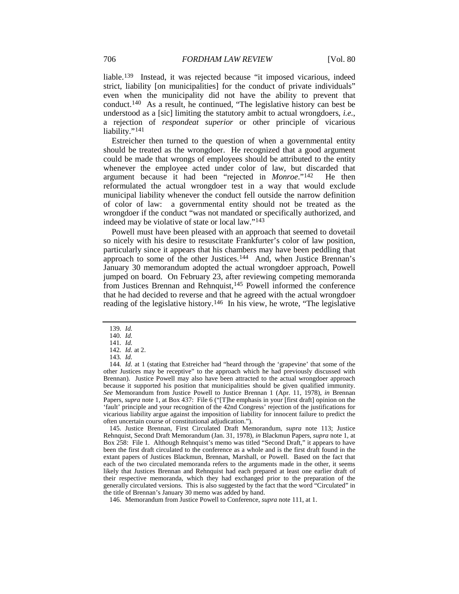liable.[139](#page-26-0) Instead, it was rejected because "it imposed vicarious, indeed strict, liability [on municipalities] for the conduct of private individuals" even when the municipality did not have the ability to prevent that conduct.[140](#page-26-1) As a result, he continued, "The legislative history can best be understood as a [sic] limiting the statutory ambit to actual wrongdoers, *i.e.*, a rejection of *respondeat superior* or other principle of vicarious liability."<sup>[141](#page-26-2)</sup>

Estreicher then turned to the question of when a governmental entity should be treated as the wrongdoer. He recognized that a good argument could be made that wrongs of employees should be attributed to the entity whenever the employee acted under color of law, but discarded that argument because it had been "rejected in *Monroe*."[142](#page-26-3) He then reformulated the actual wrongdoer test in a way that would exclude municipal liability whenever the conduct fell outside the narrow definition of color of law: a governmental entity should not be treated as the wrongdoer if the conduct "was not mandated or specifically authorized, and indeed may be violative of state or local law."[143](#page-26-4)

Powell must have been pleased with an approach that seemed to dovetail so nicely with his desire to resuscitate Frankfurter's color of law position, particularly since it appears that his chambers may have been peddling that approach to some of the other Justices.[144](#page-26-5) And, when Justice Brennan's January 30 memorandum adopted the actual wrongdoer approach, Powell jumped on board. On February 23, after reviewing competing memoranda from Justices Brennan and Rehnquist,<sup>[145](#page-26-6)</sup> Powell informed the conference that he had decided to reverse and that he agreed with the actual wrongdoer reading of the legislative history.<sup>[146](#page-26-7)</sup> In his view, he wrote, "The legislative

<span id="page-26-6"></span>145. Justice Brennan, First Circulated Draft Memorandum, *supra* note [113;](#page-21-6) Justice Rehnquist, Second Draft Memorandum (Jan. 31, 1978), *in* Blackmun Papers, *supra* not[e 1,](#page-1-2) at Box 258: File 1. Although Rehnquist's memo was titled "Second Draft," it appears to have been the first draft circulated to the conference as a whole and is the first draft found in the extant papers of Justices Blackmun, Brennan, Marshall, or Powell. Based on the fact that each of the two circulated memoranda refers to the arguments made in the other, it seems likely that Justices Brennan and Rehnquist had each prepared at least one earlier draft of their respective memoranda, which they had exchanged prior to the preparation of the generally circulated versions. This is also suggested by the fact that the word "Circulated" in the title of Brennan's January 30 memo was added by hand.

<span id="page-26-8"></span><sup>139</sup>*. Id.*

<sup>140</sup>*. Id.*

<sup>141</sup>*. Id.*

<sup>142</sup>*. Id.* at 2.

<sup>143</sup>*. Id.*

<span id="page-26-5"></span><span id="page-26-4"></span><span id="page-26-3"></span><span id="page-26-2"></span><span id="page-26-1"></span><span id="page-26-0"></span><sup>144</sup>*. Id.* at 1 (stating that Estreicher had "heard through the 'grapevine' that some of the other Justices may be receptive" to the approach which he had previously discussed with Brennan). Justice Powell may also have been attracted to the actual wrongdoer approach because it supported his position that municipalities should be given qualified immunity. *See* Memorandum from Justice Powell to Justice Brennan 1 (Apr. 11, 1978), *in* Brennan Papers, *supra* note [1,](#page-1-2) at Box 437: File 6 ("[T]he emphasis in your [first draft] opinion on the 'fault' principle and your recognition of the 42nd Congress' rejection of the justifications for vicarious liability argue against the imposition of liability for innocent failure to predict the often uncertain course of constitutional adjudication.").

<span id="page-26-7"></span><sup>146.</sup> Memorandum from Justice Powell to Conference, *supra* not[e 111,](#page-21-7) at 1.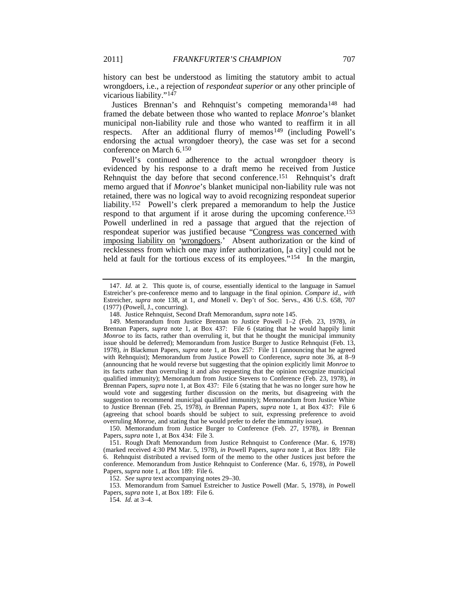history can best be understood as limiting the statutory ambit to actual wrongdoers, i.e., a rejection of *respondeat superior* or any other principle of vicarious liability."<sup>[147](#page-27-0)</sup>

<span id="page-27-8"></span>Justices Brennan's and Rehnquist's competing memoranda<sup>[148](#page-27-1)</sup> had framed the debate between those who wanted to replace *Monroe*'s blanket municipal non-liability rule and those who wanted to reaffirm it in all respects. After an additional flurry of memos<sup>[149](#page-27-2)</sup> (including Powell's endorsing the actual wrongdoer theory), the case was set for a second conference on March 6.[150](#page-27-3)

Powell's continued adherence to the actual wrongdoer theory is evidenced by his response to a draft memo he received from Justice Rehnquist the day before that second conference.<sup>[151](#page-27-4)</sup> Rehnquist's draft memo argued that if *Monroe*'s blanket municipal non-liability rule was not retained, there was no logical way to avoid recognizing respondeat superior liability.[152](#page-27-5) Powell's clerk prepared a memorandum to help the Justice respond to that argument if it arose during the upcoming conference.[153](#page-27-6) Powell underlined in red a passage that argued that the rejection of respondeat superior was justified because "Congress was concerned with imposing liability on *'*wrongdoers.' Absent authorization or the kind of recklessness from which one may infer authorization, [a city] could not be held at fault for the tortious excess of its employees."<sup>[154](#page-27-7)</sup> In the margin,

<span id="page-27-3"></span>150. Memorandum from Justice Burger to Conference (Feb. 27, 1978), *in* Brennan Papers, *supra* note [1,](#page-1-2) at Box 434: File 3.

<span id="page-27-4"></span>151. Rough Draft Memorandum from Justice Rehnquist to Conference (Mar. 6, 1978) (marked received 4:30 PM Mar. 5, 1978), *in* Powell Papers, *supra* note [1,](#page-1-2) at Box 189: File 6. Rehnquist distributed a revised form of the memo to the other Justices just before the conference. Memorandum from Justice Rehnquist to Conference (Mar. 6, 1978), *in* Powell Papers, *supra* note [1,](#page-1-2) at Box 189: File 6.

152*. See supra* text accompanying notes [29](#page-6-0)[–30.](#page-7-0)

<span id="page-27-7"></span><span id="page-27-6"></span><span id="page-27-5"></span>153. Memorandum from Samuel Estreicher to Justice Powell (Mar. 5, 1978), *in* Powell Papers, *supra* note [1,](#page-1-2) at Box 189: File 6.

154*. Id.* at 3–4.

<span id="page-27-0"></span><sup>147.</sup> *Id.* at 2. This quote is, of course, essentially identical to the language in Samuel Estreicher's pre-conference memo and to language in the final opinion. *Compare id.*, *with* Estreicher, *supra* note [138,](#page-25-5) at 1, *and* Monell v. Dep't of Soc. Servs., 436 U.S. 658, 707 (1977) (Powell, J., concurring).

<sup>148.</sup> Justice Rehnquist, Second Draft Memorandum, *supra* not[e 145.](#page-26-8)

<span id="page-27-2"></span><span id="page-27-1"></span><sup>149.</sup> Memorandum from Justice Brennan to Justice Powell 1–2 (Feb. 23, 1978), *in* Brennan Papers, *supra* note [1,](#page-1-2) at Box 437: File 6 (stating that he would happily limit *Monroe* to its facts, rather than overruling it, but that he thought the municipal immunity issue should be deferred); Memorandum from Justice Burger to Justice Rehnquist (Feb. 13, 1978), *in* Blackmun Papers, *supra* note [1,](#page-1-2) at Box 257: File 11 (announcing that he agreed with Rehnquist); Memorandum from Justice Powell to Conference, *supra* note [36,](#page-9-0) at 8–9 (announcing that he would reverse but suggesting that the opinion explicitly limit *Monroe* to its facts rather than overruling it and also requesting that the opinion recognize municipal qualified immunity); Memorandum from Justice Stevens to Conference (Feb. 23, 1978), *in* Brennan Papers, *supra* not[e 1,](#page-1-2) at Box 437: File 6 (stating that he was no longer sure how he would vote and suggesting further discussion on the merits, but disagreeing with the suggestion to recommend municipal qualified immunity); Memorandum from Justice White to Justice Brennan (Feb. 25, 1978), *in* Brennan Papers, *supra* note [1,](#page-1-2) at Box 437: File 6 (agreeing that school boards should be subject to suit, expressing preference to avoid overruling *Monroe*, and stating that he would prefer to defer the immunity issue).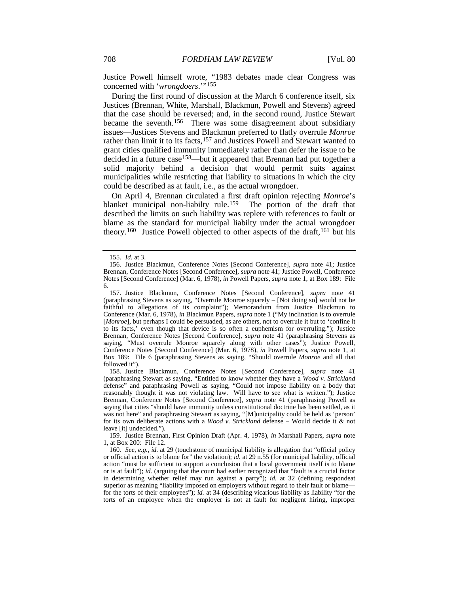Justice Powell himself wrote, "1983 debates made clear Congress was concerned with '*wrongdoers*.'"[155](#page-28-0)

During the first round of discussion at the March 6 conference itself, six Justices (Brennan, White, Marshall, Blackmun, Powell and Stevens) agreed that the case should be reversed; and, in the second round, Justice Stewart became the seventh.[156](#page-28-1) There was some disagreement about subsidiary issues—Justices Stevens and Blackmun preferred to flatly overrule *Monroe* rather than limit it to its facts,<sup>157</sup> and Justices Powell and Stewart wanted to grant cities qualified immunity immediately rather than defer the issue to be decided in a future case<sup>[158](#page-28-3)</sup>—but it appeared that Brennan had put together a solid majority behind a decision that would permit suits against municipalities while restricting that liability to situations in which the city could be described as at fault, i.e., as the actual wrongdoer.

<span id="page-28-8"></span><span id="page-28-6"></span>On April 4, Brennan circulated a first draft opinion rejecting *Monroe*'s blanket municipal non-liabilty rule. [159](#page-28-4) The portion of the draft that described the limits on such liability was replete with references to fault or blame as the standard for municipal liabilty under the actual wrongdoer theory.<sup>160</sup> Justice Powell objected to other aspects of the draft,<sup>[161](#page-28-6)</sup> but his

<span id="page-28-9"></span><span id="page-28-7"></span><sup>155</sup>*. Id.* at 3.

<span id="page-28-1"></span><span id="page-28-0"></span><sup>156.</sup> Justice Blackmun, Conference Notes [Second Conference], *supra* note [41;](#page-9-2) Justice Brennan, Conference Notes [Second Conference], *supra* note [41;](#page-9-2) Justice Powell, Conference Notes [Second Conference] (Mar. 6, 1978), *in* Powell Papers, *supra* note [1,](#page-1-2) at Box 189: File 6.

<span id="page-28-2"></span><sup>157.</sup> Justice Blackmun, Conference Notes [Second Conference], *supra* note [41](#page-9-2) (paraphrasing Stevens as saying, "Overrule Monroe squarely – [Not doing so] would not be faithful to allegations of its complaint"); Memorandum from Justice Blackmun to Conference (Mar. 6, 1978), *in* Blackmun Papers, *supra* note [1](#page-1-2) ("My inclination is to overrule [*Monroe*], but perhaps I could be persuaded, as are others, not to overrule it but to 'confine it to its facts,' even though that device is so often a euphemism for overruling."); Justice Brennan, Conference Notes [Second Conference], *supra* note [41](#page-9-2) (paraphrasing Stevens as saying, "Must overrule Monroe squarely along with other cases"); Justice Powell, Conference Notes [Second Conference] (Mar. 6, 1978), *in* Powell Papers, *supra* note [1,](#page-1-2) at Box 189: File 6 (paraphrasing Stevens as saying, "Should overrule *Monroe* and all that followed it").

<span id="page-28-3"></span><sup>158.</sup> Justice Blackmun, Conference Notes [Second Conference], *supra* note [41](#page-9-2) (paraphrasing Stewart as saying, "Entitled to know whether they have a *Wood v. Strickland* defense" and paraphrasing Powell as saying, "Could not impose liability on a body that reasonably thought it was not violating law. Will have to see what is written."); Justice Brennan, Conference Notes [Second Conference], *supra* note [41](#page-9-2) (paraphrasing Powell as saying that cities "should have immunity unless constitutional doctrine has been settled, as it was not here" and paraphrasing Stewart as saying, "[M]unicipality could be held as 'person' for its own deliberate actions with a *Wood v. Strickland* defense – Would decide it & not leave [it] undecided.").

<sup>159.</sup> Justice Brennan, First Opinion Draft (Apr. 4, 1978), *in* Marshall Papers, *supra* note [1,](#page-1-2) at Box 200: File 12.

<span id="page-28-5"></span><span id="page-28-4"></span><sup>160</sup>*. See, e.g.*, *id.* at 29 (touchstone of municipal liability is allegation that "official policy or official action is to blame for" the violation); *id.* at 29 n.55 (for municipal liability, official action "must be sufficient to support a conclusion that a local government itself is to blame or is at fault"); *id.* (arguing that the court had earlier recognized that "fault is a crucial factor in determining whether relief may run against a party"); *id.* at 32 (defining respondeat superior as meaning "liability imposed on employers without regard to their fault or blame for the torts of their employees"); *id.* at 34 (describing vicarious liability as liability "for the torts of an employee when the employer is not at fault for negligent hiring, improper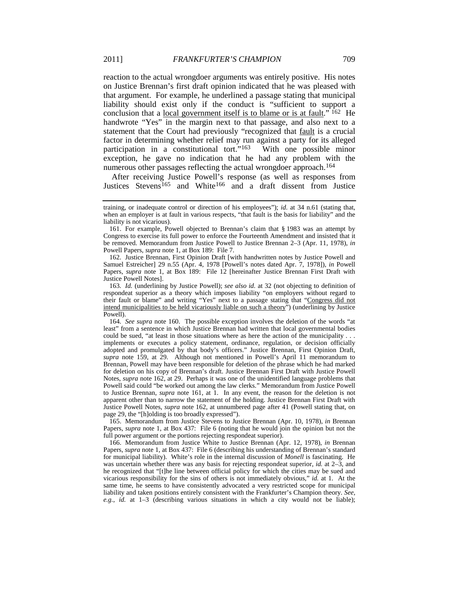<span id="page-29-0"></span>reaction to the actual wrongdoer arguments was entirely positive. His notes on Justice Brennan's first draft opinion indicated that he was pleased with that argument. For example, he underlined a passage stating that municipal liability should exist only if the conduct is "sufficient to support a conclusion that a local government itself is to blame or is at fault." [162](#page-29-1) He handwrote "Yes" in the margin next to that passage, and also next to a statement that the Court had previously "recognized that fault is a crucial factor in determining whether relief may run against a party for its alleged participation in a constitutional tort."[163](#page-29-2) With one possible minor exception, he gave no indication that he had any problem with the numerous other passages reflecting the actual wrongdoer approach.<sup>[164](#page-29-3)</sup>

After receiving Justice Powell's response (as well as responses from Justices Stevens<sup>165</sup> and White<sup>[166](#page-29-5)</sup> and a draft dissent from Justice

<span id="page-29-1"></span>162. Justice Brennan, First Opinion Draft [with handwritten notes by Justice Powell and Samuel Estreicher] 29 n.55 (Apr. 4, 1978 [Powell's notes dated Apr. 7, 1978]), *in* Powell Papers, *supra* note [1,](#page-1-2) at Box 189: File 12 [hereinafter Justice Brennan First Draft with Justice Powell Notes].

<span id="page-29-2"></span>163*. Id.* (underlining by Justice Powell); *see also id.* at 32 (not objecting to definition of respondeat superior as a theory which imposes liability "on employers without regard to their fault or blame" and writing "Yes" next to a passage stating that "Congress did not intend municipalities to be held vicariously liable on such a theory") (underlining by Justice Powell).

<span id="page-29-3"></span>164*. See supra* note [160.](#page-28-7) The possible exception involves the deletion of the words "at least" from a sentence in which Justice Brennan had written that local governmental bodies could be sued, "at least in those situations where as here the action of the municipality . . . implements or executes a policy statement, ordinance, regulation, or decision officially adopted and promulgated by that body's officers." Justice Brennan, First Opinion Draft, *supra* note [159,](#page-28-8) at 29. Although not mentioned in Powell's April 11 memorandum to Brennan, Powell may have been responsible for deletion of the phrase which he had marked for deletion on his copy of Brennan's draft. Justice Brennan First Draft with Justice Powell Notes, *supra* note [162,](#page-29-0) at 29. Perhaps it was one of the unidentified language problems that Powell said could "be worked out among the law clerks." Memorandum from Justice Powell to Justice Brennan, *supra* note [161,](#page-28-9) at 1. In any event, the reason for the deletion is not apparent other than to narrow the statement of the holding. Justice Brennan First Draft with Justice Powell Notes, *supra* note [162,](#page-29-0) at unnumbered page after 41 (Powell stating that, on page 29, the "[h]olding is too broadly expressed").

<span id="page-29-4"></span>165. Memorandum from Justice Stevens to Justice Brennan (Apr. 10, 1978), *in* Brennan Papers, *supra* note [1,](#page-1-2) at Box 437: File 6 (noting that he would join the opinion but not the full power argument or the portions rejecting respondeat superior).

<span id="page-29-5"></span>166. Memorandum from Justice White to Justice Brennan (Apr. 12, 1978), *in* Brennan Papers, *supra* note [1,](#page-1-2) at Box 437: File 6 (describing his understanding of Brennan's standard for municipal liability). White's role in the internal discussion of *Monell* is fascinating. He was uncertain whether there was any basis for rejecting respondeat superior, *id.* at 2–3, and he recognized that "[t]he line between official policy for which the cities may be sued and vicarious responsibility for the sins of others is not immediately obvious," *id.* at 1. At the same time, he seems to have consistently advocated a very restricted scope for municipal liability and taken positions entirely consistent with the Frankfurter's Champion theory. *See, e.g.*, *id.* at 1–3 (describing various situations in which a city would not be liable);

training, or inadequate control or direction of his employees"); *id.* at 34 n.61 (stating that, when an employer is at fault in various respects, "that fault is the basis for liability" and the liability is not vicarious).

<sup>161.</sup> For example, Powell objected to Brennan's claim that § 1983 was an attempt by Congress to exercise its full power to enforce the Fourteenth Amendment and insisted that it be removed. Memorandum from Justice Powell to Justice Brennan 2–3 (Apr. 11, 1978), *in* Powell Papers, *supra* not[e 1,](#page-1-2) at Box 189: File 7.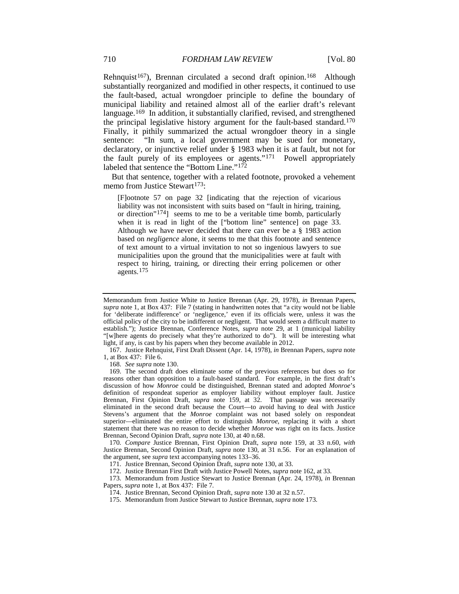Rehnquist<sup>[167](#page-30-1)</sup>), Brennan circulated a second draft opinion.<sup>168</sup> Although substantially reorganized and modified in other respects, it continued to use the fault-based, actual wrongdoer principle to define the boundary of municipal liability and retained almost all of the earlier draft's relevant language.<sup>[169](#page-30-3)</sup> In addition, it substantially clarified, revised, and strengthened the principal legislative history argument for the fault-based standard.[170](#page-30-4) Finally, it pithily summarized the actual wrongdoer theory in a single sentence: "In sum, a local government may be sued for monetary, declaratory, or injunctive relief under § 1983 when it is at fault, but not for the fault purely of its employees or agents.["171](#page-30-5) Powell appropriately labeled that sentence the "Bottom Line."<sup>[172](#page-30-6)</sup>

But that sentence, together with a related footnote, provoked a vehement memo from Justice Stewart<sup>[173](#page-30-7)</sup>:

<span id="page-30-0"></span>[F]ootnote 57 on page 32 [indicating that the rejection of vicarious liability was not inconsistent with suits based on "fault in hiring, training, or direction" [174\]](#page-30-8) seems to me to be a veritable time bomb, particularly when it is read in light of the ["bottom line" sentence] on page 33. Although we have never decided that there can ever be a § 1983 action based on *negligence* alone, it seems to me that this footnote and sentence of text amount to a virtual invitation to not so ingenious lawyers to sue municipalities upon the ground that the municipalities were at fault with respect to hiring, training, or directing their erring policemen or other agents.[175](#page-30-9)

<span id="page-30-1"></span>167. Justice Rehnquist, First Draft Dissent (Apr. 14, 1978), *in* Brennan Papers, *supra* note [1,](#page-1-2) at Box 437: File 6.

168. *See supra* not[e 130.](#page-24-0)

Memorandum from Justice White to Justice Brennan (Apr. 29, 1978), *in* Brennan Papers, *supra* not[e 1,](#page-1-2) at Box 437: File 7 (stating in handwritten notes that "a city would not be liable for 'deliberate indifference' or 'negligence,' even if its officials were, unless it was the official policy of the city to be indifferent or negligent. That would seem a difficult matter to establish."); Justice Brennan, Conference Notes, *supra* note [29,](#page-6-0) at 1 (municipal liability "[w]here agents do precisely what they're authorized to do"). It will be interesting what light, if any, is cast by his papers when they become available in 2012.

<span id="page-30-3"></span><span id="page-30-2"></span><sup>169.</sup> The second draft does eliminate some of the previous references but does so for reasons other than opposition to a fault-based standard. For example, in the first draft's discussion of how *Monroe* could be distinguished, Brennan stated and adopted *Monroe*'s definition of respondeat superior as employer liability without employer fault. Justice Brennan, First Opinion Draft, *supra* note [159,](#page-28-8) at 32. That passage was necessarily eliminated in the second draft because the Court—to avoid having to deal with Justice Stevens's argument that the *Monroe* complaint was not based solely on respondeat superior—eliminated the entire effort to distinguish *Monroe*, replacing it with a short statement that there was no reason to decide whether *Monroe* was right on its facts. Justice Brennan, Second Opinion Draft, *supra* not[e 130,](#page-24-0) at 40 n.68.

<span id="page-30-4"></span><sup>170</sup>*. Compare* Justice Brennan, First Opinion Draft, *supra* note [159,](#page-28-8) at 33 n.60, *with* Justice Brennan, Second Opinion Draft, *supra* note [130,](#page-24-0) at 31 n.56. For an explanation of the argument, see *supra* text accompanying notes [133–](#page-24-5)36.

<sup>171.</sup> Justice Brennan, Second Opinion Draft, *supra* not[e 130,](#page-24-0) at 33.

<sup>172.</sup> Justice Brennan First Draft with Justice Powell Notes, *supra* not[e 162,](#page-29-0) at 33.

<span id="page-30-9"></span><span id="page-30-8"></span><span id="page-30-7"></span><span id="page-30-6"></span><span id="page-30-5"></span><sup>173.</sup> Memorandum from Justice Stewart to Justice Brennan (Apr. 24, 1978), *in* Brennan Papers, *supra* note [1,](#page-1-2) at Box 437: File 7.

<sup>174.</sup> Justice Brennan, Second Opinion Draft, *supra* not[e 130](#page-24-0) at 32 n.57.

<sup>175.</sup> Memorandum from Justice Stewart to Justice Brennan, *supra* note [173.](#page-30-0)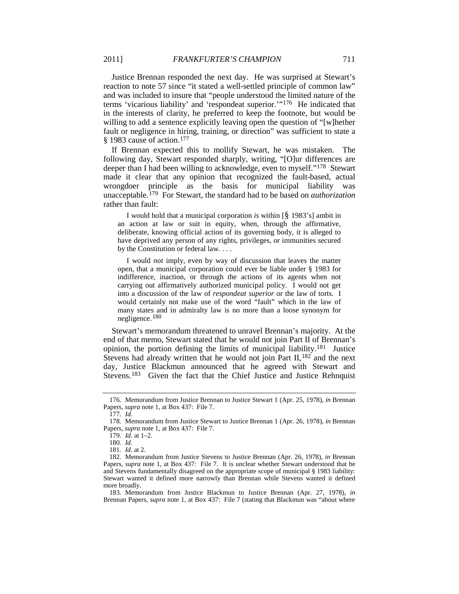Justice Brennan responded the next day. He was surprised at Stewart's reaction to note 57 since "it stated a well-settled principle of common law" and was included to insure that "people understood the limited nature of the terms 'vicarious liability' and 'respondeat superior.'"[176](#page-31-0) He indicated that in the interests of clarity, he preferred to keep the footnote, but would be willing to add a sentence explicitly leaving open the question of "[w]hether fault or negligence in hiring, training, or direction" was sufficient to state a § 1983 cause of action.<sup>[177](#page-31-1)</sup>

If Brennan expected this to mollify Stewart, he was mistaken. The following day, Stewart responded sharply, writing, "[O]ur differences are deeper than I had been willing to acknowledge, even to myself."[178](#page-31-2) Stewart made it clear that any opinion that recognized the fault-based, actual wrongdoer principle as the basis for municipal liability was unacceptable.[179](#page-31-3) For Stewart, the standard had to be based on *authorization* rather than fault:

I would hold that a municipal corporation *is* within [§ 1983's] ambit in an action at law or suit in equity, when, through the affirmative, deliberate, knowing official action of its governing body, it is alleged to have deprived any person of any rights, privileges, or immunities secured by the Constitution or federal law. . . .

I would *not* imply, even by way of discussion that leaves the matter open, that a municipal corporation could ever be liable under § 1983 for indifference, inaction, or through the actions of its agents when not carrying out affirmatively authorized municipal policy. I would not get into a discussion of the law of *respondeat superior* or the law of torts. I would certainly not make use of the word "fault" which in the law of many states and in admiralty law is no more than a loose synonym for negligence.[180](#page-31-4)

Stewart's memorandum threatened to unravel Brennan's majority. At the end of that memo, Stewart stated that he would not join Part II of Brennan's opinion, the portion defining the limits of municipal liability.[181](#page-31-5) Justice Stevens had already written that he would not join Part II, <sup>[182](#page-31-6)</sup> and the next day, Justice Blackmun announced that he agreed with Stewart and Stevens.<sup>183</sup> Given the fact that the Chief Justice and Justice Rehnquist

<span id="page-31-0"></span><sup>176.</sup> Memorandum from Justice Brennan to Justice Stewart 1 (Apr. 25, 1978), *in* Brennan Papers, *supra* note [1,](#page-1-2) at Box 437: File 7.

<sup>177</sup>*. Id.*

<span id="page-31-3"></span><span id="page-31-2"></span><span id="page-31-1"></span><sup>178.</sup> Memorandum from Justice Stewart to Justice Brennan 1 (Apr. 26, 1978), *in* Brennan Papers, *supra* note [1,](#page-1-2) at Box 437: File 7.

<sup>179</sup>*. Id.* at 1–2.

<sup>180</sup>*. Id.*

<sup>181</sup>*. Id.* at 2.

<span id="page-31-6"></span><span id="page-31-5"></span><span id="page-31-4"></span><sup>182.</sup> Memorandum from Justice Stevens to Justice Brennan (Apr. 26, 1978), *in* Brennan Papers, *supra* note [1,](#page-1-2) at Box 437: File 7. It is unclear whether Stewart understood that he and Stevens fundamentally disagreed on the appropriate scope of municipal § 1983 liability: Stewart wanted it defined more narrowly than Brennan while Stevens wanted it defined more broadly.

<span id="page-31-7"></span><sup>183.</sup> Memorandum from Justice Blackmun to Justice Brennan (Apr. 27, 1978), *in* Brennan Papers, *supra* note [1,](#page-1-2) at Box 437: File 7 (stating that Blackmun was "about where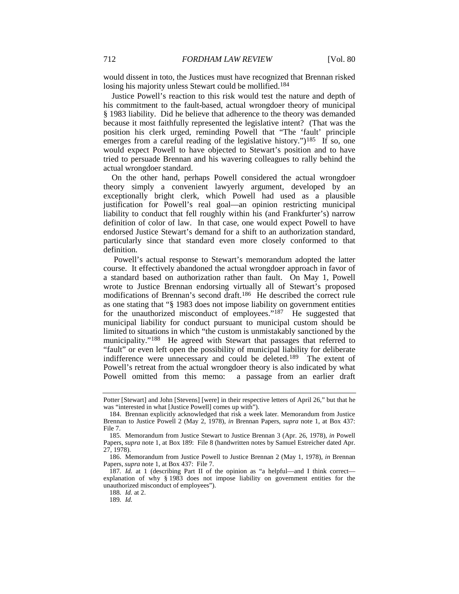would dissent in toto, the Justices must have recognized that Brennan risked losing his majority unless Stewart could be mollified.<sup>[184](#page-32-0)</sup>

Justice Powell's reaction to this risk would test the nature and depth of his commitment to the fault-based, actual wrongdoer theory of municipal § 1983 liability. Did he believe that adherence to the theory was demanded because it most faithfully represented the legislative intent? (That was the position his clerk urged, reminding Powell that "The 'fault' principle emerges from a careful reading of the legislative history.")<sup>[185](#page-32-1)</sup> If so, one would expect Powell to have objected to Stewart's position and to have tried to persuade Brennan and his wavering colleagues to rally behind the actual wrongdoer standard.

On the other hand, perhaps Powell considered the actual wrongdoer theory simply a convenient lawyerly argument, developed by an exceptionally bright clerk, which Powell had used as a plausible justification for Powell's real goal—an opinion restricting municipal liability to conduct that fell roughly within his (and Frankfurter's) narrow definition of color of law. In that case, one would expect Powell to have endorsed Justice Stewart's demand for a shift to an authorization standard, particularly since that standard even more closely conformed to that definition.

<span id="page-32-6"></span>Powell's actual response to Stewart's memorandum adopted the latter course. It effectively abandoned the actual wrongdoer approach in favor of a standard based on authorization rather than fault. On May 1, Powell wrote to Justice Brennan endorsing virtually all of Stewart's proposed modifications of Brennan's second draft.[186](#page-32-2) He described the correct rule as one stating that "§ 1983 does not impose liability on government entities for the unauthorized misconduct of employees."<sup>[187](#page-32-3)</sup> He suggested that municipal liability for conduct pursuant to municipal custom should be limited to situations in which "the custom is unmistakably sanctioned by the municipality."[188](#page-32-4) He agreed with Stewart that passages that referred to "fault" or even left open the possibility of municipal liability for deliberate indifference were unnecessary and could be deleted.<sup>[189](#page-32-5)</sup> The extent of Powell's retreat from the actual wrongdoer theory is also indicated by what Powell omitted from this memo: a passage from an earlier draft

Potter [Stewart] and John [Stevens] [were] in their respective letters of April 26," but that he was "interested in what [Justice Powell] comes up with").

<span id="page-32-0"></span><sup>184.</sup> Brennan explicitly acknowledged that risk a week later. Memorandum from Justice Brennan to Justice Powell 2 (May 2, 1978), *in* Brennan Papers, *supra* note [1,](#page-1-2) at Box 437: File 7.

<span id="page-32-1"></span><sup>185.</sup> Memorandum from Justice Stewart to Justice Brennan 3 (Apr. 26, 1978), *in* Powell Papers, *supra* not[e 1,](#page-1-2) at Box 189: File 8 (handwritten notes by Samuel Estreicher dated Apr. 27, 1978).

<span id="page-32-2"></span><sup>186.</sup> Memorandum from Justice Powell to Justice Brennan 2 (May 1, 1978), *in* Brennan Papers, *supra* note [1,](#page-1-2) at Box 437: File 7.

<span id="page-32-5"></span><span id="page-32-4"></span><span id="page-32-3"></span><sup>187</sup>*. Id.* at 1 (describing Part II of the opinion as "a helpful—and I think correct explanation of why § 1983 does not impose liability on government entities for the unauthorized misconduct of employees").

<sup>188</sup>*. Id.* at 2.

<sup>189</sup>*. Id.*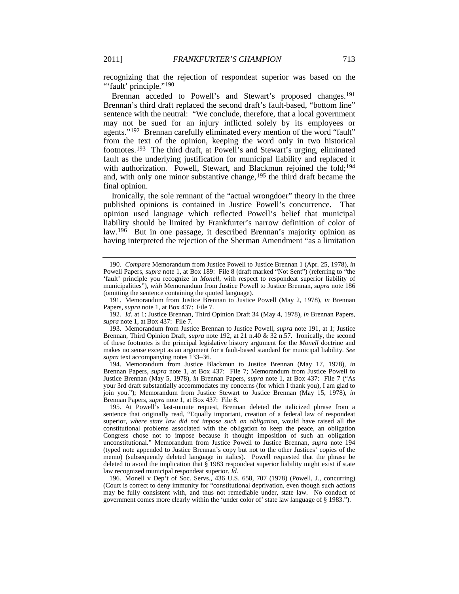recognizing that the rejection of respondeat superior was based on the "'fault' principle."<sup>[190](#page-33-3)</sup>

<span id="page-33-1"></span><span id="page-33-0"></span>Brennan acceded to Powell's and Stewart's proposed changes.<sup>[191](#page-33-4)</sup> Brennan's third draft replaced the second draft's fault-based, "bottom line" sentence with the neutral: "We conclude, therefore, that a local government may not be sued for an injury inflicted solely by its employees or agents."[192](#page-33-5) Brennan carefully eliminated every mention of the word "fault" from the text of the opinion, keeping the word only in two historical footnotes.[193](#page-33-6) The third draft, at Powell's and Stewart's urging, eliminated fault as the underlying justification for municipal liability and replaced it with authorization. Powell, Stewart, and Blackmun rejoined the fold;<sup>[194](#page-33-7)</sup> and, with only one minor substantive change, <sup>[195](#page-33-8)</sup> the third draft became the final opinion.

<span id="page-33-2"></span>Ironically, the sole remnant of the "actual wrongdoer" theory in the three published opinions is contained in Justice Powell's concurrence. That opinion used language which reflected Powell's belief that municipal liability should be limited by Frankfurter's narrow definition of color of law. [196](#page-33-9) But in one passage, it described Brennan's majority opinion as having interpreted the rejection of the Sherman Amendment "as a limitation

<span id="page-33-3"></span><sup>190</sup>*. Compare* Memorandum from Justice Powell to Justice Brennan 1 (Apr. 25, 1978), *in* Powell Papers, *supra* note [1,](#page-1-2) at Box 189: File 8 (draft marked "Not Sent") (referring to "the 'fault' principle you recognize in *Monell*, with respect to respondeat superior liability of municipalities"), *with* Memorandum from Justice Powell to Justice Brennan, *supra* not[e 186](#page-32-6) (omitting the sentence containing the quoted language).

<span id="page-33-4"></span><sup>191.</sup> Memorandum from Justice Brennan to Justice Powell (May 2, 1978), *in* Brennan Papers, *supra* note [1,](#page-1-2) at Box 437: File 7.

<span id="page-33-5"></span><sup>192</sup>*. Id.* at 1; Justice Brennan, Third Opinion Draft 34 (May 4, 1978), *in* Brennan Papers, *supra* not[e 1,](#page-1-2) at Box 437: File 7.

<span id="page-33-6"></span><sup>193.</sup> Memorandum from Justice Brennan to Justice Powell, *supra* note [191,](#page-33-0) at 1; Justice Brennan, Third Opinion Draft, *supra* note [192,](#page-33-1) at 21 n.40 & 32 n.57. Ironically, the second of these footnotes is the principal legislative history argument for the *Monell* doctrine and makes no sense except as an argument for a fault-based standard for municipal liability. *See supra* text accompanying note[s 133–](#page-24-5)36.

<span id="page-33-7"></span><sup>194.</sup> Memorandum from Justice Blackmun to Justice Brennan (May 17, 1978), *in* Brennan Papers, *supra* note [1,](#page-1-2) at Box 437: File 7; Memorandum from Justice Powell to Justice Brennan (May 5, 1978), *in* Brennan Papers, *supra* note [1,](#page-1-2) at Box 437: File 7 ("As your 3rd draft substantially accommodates my concerns (for which I thank you), I am glad to join you."); Memorandum from Justice Stewart to Justice Brennan (May 15, 1978), *in* Brennan Papers, *supra* not[e 1,](#page-1-2) at Box 437: File 8.

<span id="page-33-8"></span><sup>195.</sup> At Powell's last-minute request, Brennan deleted the italicized phrase from a sentence that originally read, "Equally important, creation of a federal law of respondeat superior, *where state law did not impose such an obligation*, would have raised all the constitutional problems associated with the obligation to keep the peace, an obligation Congress chose not to impose because it thought imposition of such an obligation unconstitutional." Memorandum from Justice Powell to Justice Brennan, *supra* note [194](#page-33-2) (typed note appended to Justice Brennan's copy but not to the other Justices' copies of the memo) (subsequently deleted language in italics). Powell requested that the phrase be deleted to avoid the implication that § 1983 respondeat superior liability might exist if state law recognized municipal respondeat superior. *Id.*

<span id="page-33-9"></span><sup>196</sup>*.* Monell v Dep't of Soc. Servs., 436 U.S. 658, 707 (1978) (Powell, J., concurring) (Court is correct to deny immunity for "constitutional deprivation, even though such actions may be fully consistent with, and thus not remediable under, state law. No conduct of government comes more clearly within the 'under color of' state law language of § 1983.").